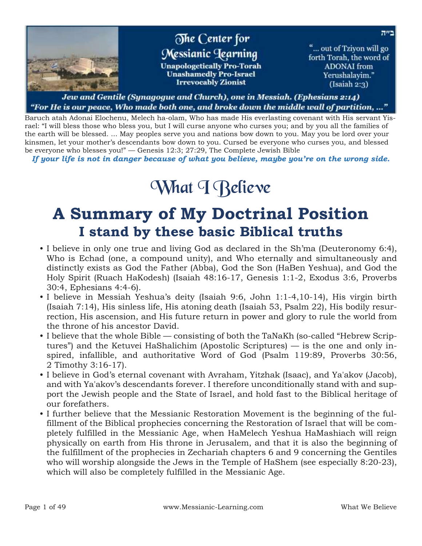

#### Jew and Gentile (Synagogue and Church), one in Messiah. (Ephesians 2:14) "For He is our peace, Who made both one, and broke down the middle wall of partition, …"

Baruch atah Adonai Elochenu, Melech ha-olam, Who has made His everlasting covenant with His servant Yisrael: "I will bless those who bless you, but I will curse anyone who curses you; and by you all the families of the earth will be blessed. ... May peoples serve you and nations bow down to you. May you be lord over your kinsmen, let your mother's descendants bow down to you. Cursed be everyone who curses you, and blessed be everyone who blesses you!" — Genesis 12:3; 27:29, The Complete Jewish Bible

*If your life is not in danger because of what you believe, maybe you're on the wrong side.*

# What T Relieve

## **A Summary of My Doctrinal Position I stand by these basic Biblical truths**

- I believe in only one true and living God as declared in the Sh'ma (Deuteronomy 6:4), Who is Echad (one, a compound unity), and Who eternally and simultaneously and distinctly exists as God the Father (Abba), God the Son (HaBen Yeshua), and God the Holy Spirit (Ruach HaKodesh) (Isaiah 48:16-17, Genesis 1:1-2, Exodus 3:6, Proverbs 30:4, Ephesians 4:4-6).
- I believe in Messiah Yeshua's deity (Isaiah 9:6, John 1:1-4,10-14), His virgin birth (Isaiah 7:14), His sinless life, His atoning death (Isaiah 53, Psalm 22), His bodily resurrection, His ascension, and His future return in power and glory to rule the world from the throne of his ancestor David.
- I believe that the whole Bible consisting of both the TaNaKh (so-called "Hebrew Scriptures") and the Ketuvei HaShalichim (Apostolic Scriptures) — is the one and only inspired, infallible, and authoritative Word of God (Psalm 119:89, Proverbs 30:56, 2 Timothy 3:16-17).
- I believe in God's eternal covenant with Avraham, Yitzhak (Isaac), and Ya'akov (Jacob), and with Ya'akov's descendants forever. I therefore unconditionally stand with and support the Jewish people and the State of Israel, and hold fast to the Biblical heritage of our forefathers.
- I further believe that the Messianic Restoration Movement is the beginning of the fulfillment of the Biblical prophecies concerning the Restoration of Israel that will be completely fulfilled in the Messianic Age, when HaMelech Yeshua HaMashiach will reign physically on earth from His throne in Jerusalem, and that it is also the beginning of the fulfillment of the prophecies in Zechariah chapters 6 and 9 concerning the Gentiles who will worship alongside the Jews in the Temple of HaShem (see especially 8:20-23), which will also be completely fulfilled in the Messianic Age.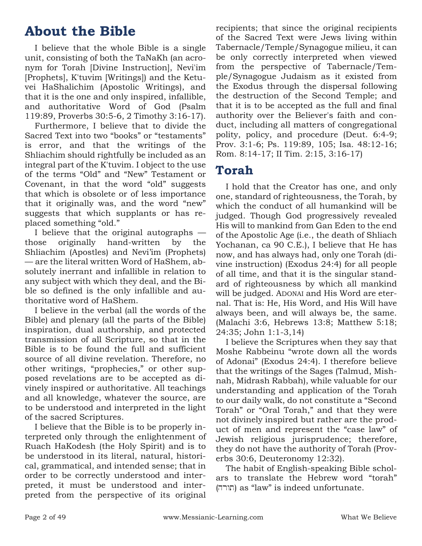## **About the Bible**

I believe that the whole Bible is a single unit, consisting of both the TaNaKh (an acronym for Torah [Divine Instruction], Nevi'im [Prophets], K'tuvim [Writings]) and the Ketuvei HaShalichim (Apostolic Writings), and that it is the one and only inspired, infallible, and authoritative Word of God (Psalm 119:89, Proverbs 30:5-6, 2 Timothy 3:16-17).

Furthermore, I believe that to divide the Sacred Text into two "books" or "testaments" is error, and that the writings of the Shliachim should rightfully be included as an integral part of the K'tuvim. I object to the use of the terms "Old" and "New" Testament or Covenant, in that the word "old" suggests that which is obsolete or of less importance that it originally was, and the word "new" suggests that which supplants or has replaced something "old."

I believe that the original autographs those originally hand-written by the Shliachim (Apostles) and Nevi'im (Prophets) — are the literal written Word of HaShem, absolutely inerrant and infallible in relation to any subject with which they deal, and the Bible so defined is the only infallible and authoritative word of HaShem.

I believe in the verbal (all the words of the Bible) and plenary (all the parts of the Bible) inspiration, dual authorship, and protected transmission of all Scripture, so that in the Bible is to be found the full and sufficient source of all divine revelation. Therefore, no other writings, "prophecies," or other supposed revelations are to be accepted as divinely inspired or authoritative. All teachings and all knowledge, whatever the source, are to be understood and interpreted in the light of the sacred Scriptures.

I believe that the Bible is to be properly interpreted only through the enlightenment of Ruach HaKodesh (the Holy Spirit) and is to be understood in its literal, natural, historical, grammatical, and intended sense; that in order to be correctly understood and interpreted, it must be understood and interpreted from the perspective of its original recipients; that since the original recipients of the Sacred Text were Jews living within Tabernacle/Temple/Synagogue milieu, it can be only correctly interpreted when viewed from the perspective of Tabernacle/Temple/Synagogue Judaism as it existed from the Exodus through the dispersal following the destruction of the Second Temple; and that it is to be accepted as the full and final authority over the Believer's faith and conduct, including all matters of congregational polity, policy, and procedure (Deut. 6:4-9; Prov. 3:1-6; Ps. 119:89, 105; Isa. 48:12-16; Rom. 8:14-17; II Tim. 2:15, 3:16-17)

## **Torah**

I hold that the Creator has one, and only one, standard of righteousness, the Torah, by which the conduct of all humankind will be judged. Though God progressively revealed His will to mankind from Gan Eden to the end of the Apostolic Age (i.e., the death of Shliach Yochanan, ca 90 C.E.), I believe that He has now, and has always had, only one Torah (divine instruction) (Exodus 24:4) for all people of all time, and that it is the singular standard of righteousness by which all mankind will be judged. ADONAI and His Word are eternal. That is: He, His Word, and His Will have always been, and will always be, the same. (Malachi 3:6, Hebrews 13:8; Matthew 5:18; 24:35; John 1:1-3,14)

I believe the Scriptures when they say that Moshe Rabbeinu "wrote down all the words of Adonai" (Exodus 24:4). I therefore believe that the writings of the Sages (Talmud, Mishnah, Midrash Rabbah), while valuable for our understanding and application of the Torah to our daily walk, do not constitute a "Second Torah" or "Oral Torah," and that they were not divinely inspired but rather are the product of men and represent the "case law" of Jewish religious jurisprudence; therefore, they do not have the authority of Torah (Proverbs 30:6, Deuteronomy 12:32).

The habit of English-speaking Bible scholars to translate the Hebrew word "torah" תורה) as "law" is indeed unfortunate.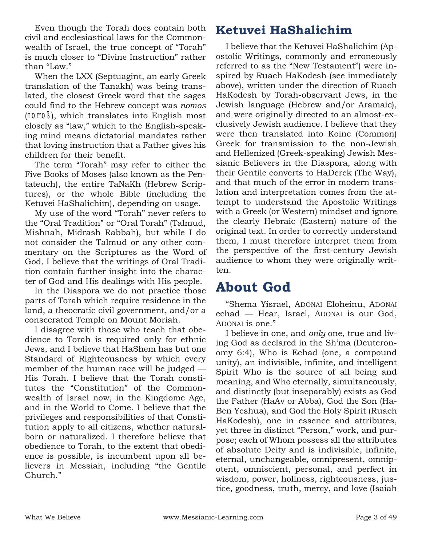Even though the Torah does contain both civil and ecclesiastical laws for the Commonwealth of Israel, the true concept of "Torah" is much closer to "Divine Instruction" rather than "Law."

When the LXX (Septuagint, an early Greek translation of the Tanakh) was being translated, the closest Greek word that the sages could find to the Hebrew concept was *nomos* (nomoß), which translates into English most closely as "law," which to the English-speaking mind means dictatorial mandates rather that loving instruction that a Father gives his children for their benefit.

The term "Torah" may refer to either the Five Books of Moses (also known as the Pentateuch), the entire TaNaKh (Hebrew Scriptures), or the whole Bible (including the Ketuvei HaShalichim), depending on usage.

My use of the word "Torah" never refers to the "Oral Tradition" or "Oral Torah" (Talmud, Mishnah, Midrash Rabbah), but while I do not consider the Talmud or any other commentary on the Scriptures as the Word of God, I believe that the writings of Oral Tradition contain further insight into the character of God and His dealings with His people.

In the Diaspora we do not practice those parts of Torah which require residence in the land, a theocratic civil government, and/or a consecrated Temple on Mount Moriah.

I disagree with those who teach that obedience to Torah is required only for ethnic Jews, and I believe that HaShem has but one Standard of Righteousness by which every member of the human race will be judged — His Torah. I believe that the Torah constitutes the "Constitution" of the Commonwealth of Israel now, in the Kingdome Age, and in the World to Come. I believe that the privileges and responsibilities of that Constitution apply to all citizens, whether naturalborn or naturalized. I therefore believe that obedience to Torah, to the extent that obedience is possible, is incumbent upon all believers in Messiah, including "the Gentile Church."

## **Ketuvei HaShalichim**

I believe that the Ketuvei HaShalichim (Apostolic Writings, commonly and erroneously referred to as the "New Testament") were inspired by Ruach HaKodesh (see immediately above), written under the direction of Ruach HaKodesh by Torah-observant Jews, in the Jewish language (Hebrew and/or Aramaic), and were originally directed to an almost-exclusively Jewish audience. I believe that they were then translated into Koine (Common) Greek for transmission to the non-Jewish and Hellenized (Greek-speaking) Jewish Messianic Believers in the Diaspora, along with their Gentile converts to HaDerek (The Way), and that much of the error in modern translation and interpretation comes from the attempt to understand the Apostolic Writings with a Greek (or Western) mindset and ignore the clearly Hebraic (Eastern) nature of the original text. In order to correctly understand them, I must therefore interpret them from the perspective of the first-century Jewish audience to whom they were originally written.

## **About God**

"Shema Yisrael, ADONAI Eloheinu, ADONAI echad — Hear, Israel, ADONAI is our God, ADONAI is one."

I believe in one, and *only* one, true and living God as declared in the Sh'ma (Deuteronomy 6:4), Who is Echad (one, a compound unity), an indivisible, infinite, and intelligent Spirit Who is the source of all being and meaning, and Who eternally, simultaneously, and distinctly (but inseparably) exists as God the Father (HaAv or Abba), God the Son (Ha-Ben Yeshua), and God the Holy Spirit (Ruach HaKodesh), one in essence and attributes, yet three in distinct "Person," work, and purpose; each of Whom possess all the attributes of absolute Deity and is indivisible, infinite, eternal, unchangeable, omnipresent, omnipotent, omniscient, personal, and perfect in wisdom, power, holiness, righteousness, justice, goodness, truth, mercy, and love (Isaiah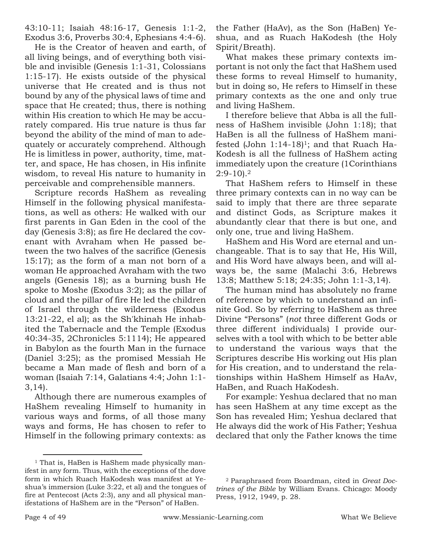43:10-11; Isaiah 48:16-17, Genesis 1:1-2, Exodus 3:6, Proverbs 30:4, Ephesians 4:4-6).

He is the Creator of heaven and earth, of all living beings, and of everything both visible and invisible (Genesis 1:1-31, Colossians 1:15-17). He exists outside of the physical universe that He created and is thus not bound by any of the physical laws of time and space that He created; thus, there is nothing within His creation to which He may be accurately compared. His true nature is thus far beyond the ability of the mind of man to adequately or accurately comprehend. Although He is limitless in power, authority, time, matter, and space, He has chosen, in His infinite wisdom, to reveal His nature to humanity in perceivable and comprehensible manners.

Scripture records HaShem as revealing Himself in the following physical manifestations, as well as others: He walked with our first parents in Gan Eden in the cool of the day (Genesis 3:8); as fire He declared the covenant with Avraham when He passed between the two halves of the sacrifice (Genesis 15:17); as the form of a man not born of a woman He approached Avraham with the two angels (Genesis 18); as a burning bush He spoke to Moshe (Exodus 3:2); as the pillar of cloud and the pillar of fire He led the children of Israel through the wilderness (Exodus 13:21-22, el al); as the Sh'khinah He inhabited the Tabernacle and the Temple (Exodus 40:34-35, 2Chronicles 5:1114); He appeared in Babylon as the fourth Man in the furnace (Daniel 3:25); as the promised Messiah He became a Man made of flesh and born of a woman (Isaiah 7:14, Galatians 4:4; John 1:1- 3,14).

Although there are numerous examples of HaShem revealing Himself to humanity in various ways and forms, of all those many ways and forms, He has chosen to refer to Himself in the following primary contexts: as

the Father (HaAv), as the Son (HaBen) Yeshua, and as Ruach HaKodesh (the Holy Spirit/Breath).

What makes these primary contexts important is not only the fact that HaShem used these forms to reveal Himself to humanity, but in doing so, He refers to Himself in these primary contexts as the one and only true and living HaShem.

I therefore believe that Abba is all the fullness of HaShem invisible (John 1:18); that HaBen is all the fullness of HaShem manifested (John 1:14-18) <sup>1</sup>; and that Ruach Ha-Kodesh is all the fullness of HaShem acting immediately upon the creature (1Corinthians  $2:9-10$ .<sup>2</sup>

That HaShem refers to Himself in these three primary contexts can in no way can be said to imply that there are three separate and distinct Gods, as Scripture makes it abundantly clear that there is but one, and only one, true and living HaShem.

HaShem and His Word are eternal and unchangeable. That is to say that He, His Will, and His Word have always been, and will always be, the same (Malachi 3:6, Hebrews 13:8; Matthew 5:18; 24:35; John 1:1-3,14).

The human mind has absolutely no frame of reference by which to understand an infinite God. So by referring to HaShem as three Divine "Persons" (*not* three different Gods or three different individuals) I provide ourselves with a tool with which to be better able to understand the various ways that the Scriptures describe His working out His plan for His creation, and to understand the relationships within HaShem Himself as HaAv, HaBen, and Ruach HaKodesh.

For example: Yeshua declared that no man has seen HaShem at any time except as the Son has revealed Him; Yeshua declared that He always did the work of His Father; Yeshua declared that only the Father knows the time

<sup>&</sup>lt;sup>1</sup> That is, HaBen is HaShem made physically manifest in any form. Thus, with the exceptions of the dove form in which Ruach HaKodesh was manifest at Yeshua's immersion (Luke 3:22, et al) and the tongues of fire at Pentecost (Acts 2:3), any and all physical manifestations of HaShem are in the "Person" of HaBen.

<sup>2</sup> Paraphrased from Boardman, cited in *Great Doctrines of the Bible* by William Evans. Chicago: Moody Press, 1912, 1949, p. 28.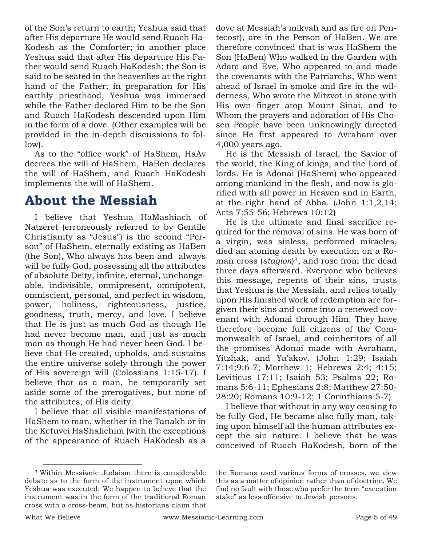of the Son's return to earth; Yeshua said that after His departure He would send Ruach Ha-Kodesh as the Comforter; in another place Yeshua said that after His departure His Father would send Ruach HaKodesh; the Son is said to be seated in the heavenlies at the right hand of the Father; in preparation for His earthly priesthood, Yeshua was immersed while the Father declared Him to be the Son and Ruach HaKodesh descended upon Him in the form of a dove. (Other examples will be provided in the in-depth discussions to follow).

As to the "office work" of HaShem, HaAv decrees the will of HaShem, HaBen declares the will of HaShem, and Ruach HaKodesh implements the will of HaShem.

## **About the Messiah**

I believe that Yeshua HaMashiach of Natzeret (erroneously referred to by Gentile Christianity as "Jesus") is the second "Person" of HaShem, eternally existing as HaBen (the Son), Who always has been and always will be fully God, possessing all the attributes of absolute Deity, infinite, eternal, unchangeable, indivisible, omnipresent, omnipotent, omniscient, personal, and perfect in wisdom, power, holiness, righteousness, justice, goodness, truth, mercy, and love. I believe that He is just as much God as though He had never become man, and just as much man as though He had never been God. I believe that He created, upholds, and sustains the entire universe solely through the power of His sovereign will (Colossians 1:15-17). I believe that as a man, he temporarily set aside some of the prerogatives, but none of the attributes, of His deity.

I believe that all visible manifestations of HaShem to man, whether in the Tanakh or in the Ketuvei HaShalichim (with the exceptions of the appearance of Ruach HaKodesh as a

dove at Messiah's mikvah and as fire on Pentecost), are in the Person of HaBen. We are therefore convinced that is was HaShem the Son (HaBen) Who walked in the Garden with Adam and Eve, Who appeared to and made the covenants with the Patriarchs, Who went ahead of Israel in smoke and fire in the wilderness, Who wrote the Mitzvot in stone with His own finger atop Mount Sinai, and to Whom the prayers and adoration of His Chosen People have been unknowingly directed since He first appeared to Avraham over 4,000 years ago.

He is the Messiah of Israel, the Savior of the world, the King of kings, and the Lord of lords. He is Adonai (HaShem) who appeared among mankind in the flesh, and now is glorified with all power in Heaven and in Earth, at the right hand of Abba. (John 1:1,2,14; Acts 7:55-56; Hebrews 10:12)

He is the ultimate and final sacrifice required for the removal of sins. He was born of a virgin, was sinless, performed miracles, died an atoning death by execution on a Roman cross (*stagion*) <sup>3</sup>, and rose from the dead three days afterward. Everyone who believes this message, repents of their sins, trusts that Yeshua is the Messiah, and relies totally upon His finished work of redemption are forgiven their sins and come into a renewed covenant with Adonai through Him. They have therefore become full citizens of the Commonwealth of Israel, and coinheritors of all the promises Adonai made with Avraham, Yitzhak, and Ya'akov. (John 1:29; Isaiah 7:14;9:6-7; Matthew 1; Hebrews 2:4; 4:15; Leviticus 17:11; Isaiah 53; Psalms 22; Romans 5:6-11; Ephesians 2:8; Matthew 27:50- 28:20; Romans 10:9-12; 1 Corinthians 5-7)

I believe that without in any way ceasing to be fully God, He became also fully man, taking upon himself all the human attributes except the sin nature. I believe that he was conceived of Ruach HaKodesh, born of the

the Romans used various forms of crosses, we view this as a matter of opinion rather than of doctrine. We find no fault with those who prefer the term "execution stake" as less offensive to Jewish persons.

<sup>3</sup> Within Messianic Judaism there is considerable debate as to the form of the instrument upon which Yeshua was executed. We happen to believe that the instrument was in the form of the traditional Roman cross with a cross-beam, but as historians claim that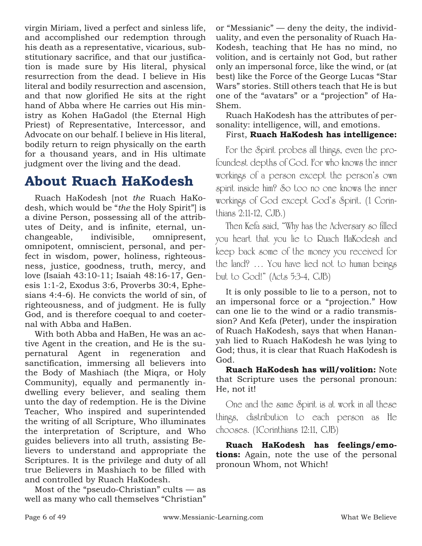virgin Miriam, lived a perfect and sinless life, and accomplished our redemption through his death as a representative, vicarious, substitutionary sacrifice, and that our justification is made sure by His literal, physical resurrection from the dead. I believe in His literal and bodily resurrection and ascension, and that now glorified He sits at the right hand of Abba where He carries out His ministry as Kohen HaGadol (the Eternal High Priest) of Representative, Intercessor, and Advocate on our behalf. I believe in His literal, bodily return to reign physically on the earth for a thousand years, and in His ultimate judgment over the living and the dead.

## **About Ruach HaKodesh**

Ruach HaKodesh [not *the* Ruach HaKodesh, which would be "*the* the Holy Spirit"] is a divine Person, possessing all of the attributes of Deity, and is infinite, eternal, unchangeable, indivisible, omnipresent, omnipotent, omniscient, personal, and perfect in wisdom, power, holiness, righteousness, justice, goodness, truth, mercy, and love (Isaiah 43:10-11; Isaiah 48:16-17, Genesis 1:1-2, Exodus 3:6, Proverbs 30:4, Ephesians 4:4-6). He convicts the world of sin, of righteousness, and of judgment. He is fully God, and is therefore coequal to and coeternal with Abba and HaBen.

With both Abba and HaBen, He was an active Agent in the creation, and He is the supernatural Agent in regeneration and sanctification, immersing all believers into the Body of Mashiach (the Miqra, or Holy Community), equally and permanently indwelling every believer, and sealing them unto the day of redemption. He is the Divine Teacher, Who inspired and superintended the writing of all Scripture, Who illuminates the interpretation of Scripture, and Who guides believers into all truth, assisting Believers to understand and appropriate the Scriptures. It is the privilege and duty of all true Believers in Mashiach to be filled with and controlled by Ruach HaKodesh.

Most of the "pseudo-Christian" cults — as well as many who call themselves "Christian" or "Messianic" — deny the deity, the individuality, and even the personality of Ruach Ha-Kodesh, teaching that He has no mind, no volition, and is certainly not God, but rather only an impersonal force, like the wind, or (at best) like the Force of the George Lucas "Star Wars" stories. Still others teach that He is but one of the "avatars" or a "projection" of Ha-Shem.

Ruach HaKodesh has the attributes of personality: intelligence, will, and emotions.

#### First, **Ruach HaKodesh has intelligence:**

For the Spirit probes all things, even the profoundest depths of God. For who knows the inner workings of a person except the person's own spirit inside him? So too no one knows the inner workings of God except God's Spirit. (1 Corinthians 2:11-12, CJB.)

Then Kefa said, "Why has the Adversary so filled you heart that you lie to Ruach HaKodesh and keep back some of the money you received for the land? … You have lied not to human beings but to God!" (Acts 5:3-4, CJB)

It is only possible to lie to a person, not to an impersonal force or a "projection." How can one lie to the wind or a radio transmission? And Kefa (Peter), under the inspiration of Ruach HaKodesh, says that when Hananyah lied to Ruach HaKodesh he was lying to God; thus, it is clear that Ruach HaKodesh is God.

**Ruach HaKodesh has will/volition:** Note that Scripture uses the personal pronoun: He, not it!

One and the same Spirit is at work in all these things, distribution to each person as He chooses. (1Corinthians 12:11, CJB)

**Ruach HaKodesh has feelings/emotions:** Again, note the use of the personal pronoun Whom, not Which!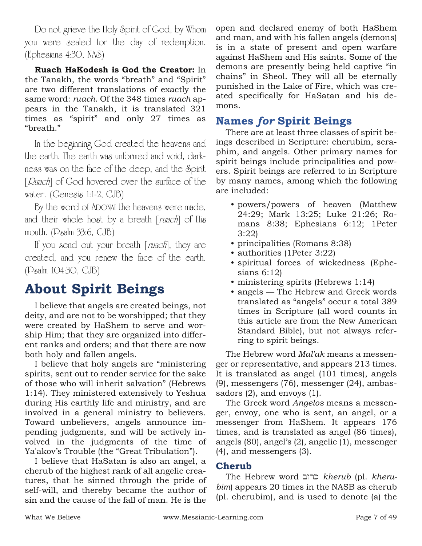Do not grieve the Holy Spirit of God, by Whom you were sealed for the day of redemption. (Ephesians 4:30, NAS)

**Ruach HaKodesh is God the Creator:** In the Tanakh, the words "breath" and "Spirit" are two different translations of exactly the same word: *ruach*. Of the 348 times *ruach* appears in the Tanakh, it is translated 321 times as "spirit" and only 27 times as "breath."

In the beginning God created the heavens and the earth. The earth was unformed and void, darkness was on the face of the deep, and the Spirit [Ruach] of God hovered over the surface of the water. (Genesis 1:1-2, CJB)

By the word of ADONAI the heavens were made, and their whole host by a breath [ruach] of His mouth. (Psalm 33:6, CJB)

If you send out your breath [*ruach*], they are created, and you renew the face of the earth. (Psalm 104:30, CJB)

## **About Spirit Beings**

I believe that angels are created beings, not deity, and are not to be worshipped; that they were created by HaShem to serve and worship Him; that they are organized into different ranks and orders; and that there are now both holy and fallen angels.

I believe that holy angels are "ministering spirits, sent out to render service for the sake of those who will inherit salvation" (Hebrews 1:14). They ministered extensively to Yeshua during His earthly life and ministry, and are involved in a general ministry to believers. Toward unbelievers, angels announce impending judgments, and will be actively involved in the judgments of the time of Ya'akov's Trouble (the "Great Tribulation").

I believe that HaSatan is also an angel, a cherub of the highest rank of all angelic creatures, that he sinned through the pride of self-will, and thereby became the author of sin and the cause of the fall of man. He is the open and declared enemy of both HaShem and man, and with his fallen angels (demons) is in a state of present and open warfare against HaShem and His saints. Some of the demons are presently being held captive "in chains" in Sheol. They will all be eternally punished in the Lake of Fire, which was created specifically for HaSatan and his demons.

### **Names** *for* **Spirit Beings**

There are at least three classes of spirit beings described in Scripture: cherubim, seraphim, and angels. Other primary names for spirit beings include principalities and powers. Spirit beings are referred to in Scripture by many names, among which the following are included:

- powers/powers of heaven (Matthew 24:29; Mark 13:25; Luke 21:26; Romans 8:38; Ephesians 6:12; 1Peter 3:22)
- principalities (Romans 8:38)
- authorities (1Peter 3:22)
- spiritual forces of wickedness (Ephesians 6:12)
- ministering spirits (Hebrews 1:14)
- angels The Hebrew and Greek words translated as "angels" occur a total 389 times in Scripture (all word counts in this article are from the New American Standard Bible), but not always referring to spirit beings.

The Hebrew word *Mal'ak* means a messenger or representative, and appears 213 times. It is translated as angel (101 times), angels (9), messengers (76), messenger (24), ambassadors (2), and envoys (1).

The Greek word *Angelos* means a messenger, envoy, one who is sent, an angel, or a messenger from HaShem. It appears 176 times, and is translated as angel (86 times), angels (80), angel's (2), angelic (1), messenger (4), and messengers (3).

#### **Cherub**

The Hebrew word bwrk *kherub* (pl. *kherubim*) appears 20 times in the NASB as cherub (pl. cherubim), and is used to denote (a) the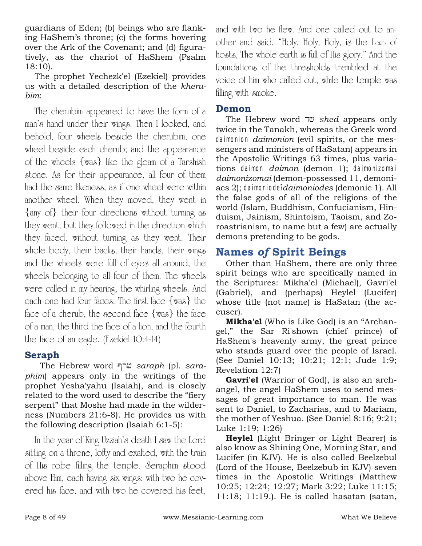guardians of Eden; (b) beings who are flanking HaShem's throne; (c) the forms hovering over the Ark of the Covenant; and (d) figuratively, as the chariot of HaShem (Psalm 18:10).

The prophet Yechezk'el (Ezekiel) provides us with a detailed description of the *kherubim*:

The cherubim appeared to have the form of a man's hand under their wings. Then I looked, and behold, four wheels beside the cherubim, one wheel beside each cherub; and the appearance of the wheels {was} like the gleam of a Tarshish stone. As for their appearance, all four of them had the same likeness, as if one wheel were within another wheel. When they moved, they went in {any of} their four directions without turning as they went; but they followed in the direction which they faced, without turning as they went. Their whole body, their backs, their hands, their wings and the wheels were full of eyes all around, the wheels belonging to all four of them. The wheels were called in my hearing, the whirling wheels. And each one had four faces. The first face {was} the face of a cherub, the second face {was} the face of a man, the third the face of a lion, and the fourth the face of an eagle. (Ezekiel 10:4-14)

#### **Seraph**

The Hebrew word @rX *saraph* (pl. *saraphim*) appears only in the writings of the prophet Yesha'yahu (Isaiah), and is closely related to the word used to describe the "fiery serpent" that Moshe had made in the wilderness (Numbers 21:6-8). He provides us with the following description (Isaiah 6:1-5):

In the year of King Uzziah's death I saw the Lord sitting on a throne, lofty and exalted, with the train of His robe filling the temple. Seraphim stood above Him, each having six wings: with two he covered his face, and with two he covered his feet,

and with two he flew. And one called out to another and said, "Holy, Holy, Holy, is the LORD of hosts, The whole earth is full of His glory." And the foundations of the thresholds trembled at the voice of him who called out, while the temple was filling with smoke.

#### **Demon**

The Hebrew word <u>ע</u>ד shed appears only twice in the Tanakh, whereas the Greek word daimonion *daimonion* (evil spirits, or the messengers and ministers of HaSatan) appears in the Apostolic Writings 63 times, plus variations daimon *daimon* (demon 1); daimonizomai *daimonizomai* (demon-possessed 11, demoniacs 2); daimoniode?*daimoniodes* (demonic 1). All the false gods of all of the religions of the world (Islam, Buddhism, Confucianism, Hinduism, Jainism, Shintoism, Taoism, and Zoroastrianism, to name but a few) are actually demons pretending to be gods.

### **Names** *of* **Spirit Beings**

Other than HaShem, there are only three spirit beings who are specifically named in the Scriptures: Mikha'el (Michael), Gavri'el (Gabriel), and (perhaps) Heylel (Lucifer) whose title (not name) is HaSatan (the accuser).

**Mikha'el** (Who is Like God) is an "Archangel," the Sar Ri'shown (chief prince) of HaShem's heavenly army, the great prince who stands guard over the people of Israel. (See Daniel 10:13; 10:21; 12:1; Jude 1:9; Revelation 12:7)

**Gavri'el** (Warrior of God), is also an archangel, the angel HaShem uses to send messages of great importance to man. He was sent to Daniel, to Zacharias, and to Mariam, the mother of Yeshua. (See Daniel 8:16; 9:21; Luke 1:19; 1:26)

**Heylel** (Light Bringer or Light Bearer) is also know as Shining One, Morning Star, and Lucifer (in KJV). He is also called Beelzebul (Lord of the House, Beelzebub in KJV) seven times in the Apostolic Writings (Matthew 10:25; 12:24; 12:27; Mark 3:22; Luke 11:15; 11:18; 11:19.). He is called hasatan (satan,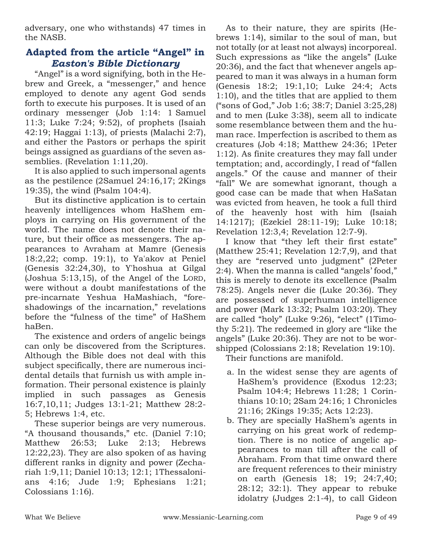adversary, one who withstands) 47 times in the NASB.

#### **Adapted from the article "Angel" in**  *Easton's Bible Dictionary*

"Angel" is a word signifying, both in the Hebrew and Greek, a "messenger," and hence employed to denote any agent God sends forth to execute his purposes. It is used of an ordinary messenger (Job 1:14: 1 Samuel 11:3; Luke 7:24; 9:52), of prophets (Isaiah 42:19; Haggai 1:13), of priests (Malachi 2:7), and either the Pastors or perhaps the spirit beings assigned as guardians of the seven assemblies. (Revelation 1:11,20).

It is also applied to such impersonal agents as the pestilence (2Samuel 24:16,17; 2Kings 19:35), the wind (Psalm 104:4).

But its distinctive application is to certain heavenly intelligences whom HaShem employs in carrying on His government of the world. The name does not denote their nature, but their office as messengers. The appearances to Avraham at Mamre (Genesis 18:2,22; comp. 19:1), to Ya'akov at Peniel (Genesis 32:24,30), to Y'hoshua at Gilgal (Joshua 5:13,15), of the Angel of the LORD, were without a doubt manifestations of the pre-incarnate Yeshua HaMashiach, "foreshadowings of the incarnation," revelations before the "fulness of the time" of HaShem haBen.

The existence and orders of angelic beings can only be discovered from the Scriptures. Although the Bible does not deal with this subject specifically, there are numerous incidental details that furnish us with ample information. Their personal existence is plainly implied in such passages as Genesis 16:7,10,11; Judges 13:1-21; Matthew 28:2- 5; Hebrews 1:4, etc.

These superior beings are very numerous. "A thousand thousands," etc. (Daniel 7:10; Matthew 26:53; Luke 2:13; Hebrews 12:22,23). They are also spoken of as having different ranks in dignity and power (Zechariah 1:9,11; Daniel 10:13; 12:1; 1Thessalonians 4:16; Jude 1:9; Ephesians 1:21; Colossians 1:16).

As to their nature, they are spirits (Hebrews 1:14), similar to the soul of man, but not totally (or at least not always) incorporeal. Such expressions as "like the angels" (Luke 20:36), and the fact that whenever angels appeared to man it was always in a human form (Genesis 18:2; 19:1,10; Luke 24:4; Acts 1:10), and the titles that are applied to them ("sons of God," Job 1:6; 38:7; Daniel 3:25,28) and to men (Luke 3:38), seem all to indicate some resemblance between them and the human race. Imperfection is ascribed to them as creatures (Job 4:18; Matthew 24:36; 1Peter 1:12). As finite creatures they may fall under temptation; and, accordingly, I read of "fallen angels." Of the cause and manner of their "fall" We are somewhat ignorant, though a good case can be made that when HaSatan was evicted from heaven, he took a full third of the heavenly host with him (Isaiah 14:1217); (Ezekiel 28:11-19); Luke 10:18; Revelation 12:3,4; Revelation 12:7-9).

I know that "they left their first estate" (Matthew 25:41; Revelation 12:7,9), and that they are "reserved unto judgment" (2Peter 2:4). When the manna is called "angels' food," this is merely to denote its excellence (Psalm 78:25). Angels never die (Luke 20:36). They are possessed of superhuman intelligence and power (Mark 13:32; Psalm 103:20). They are called "holy" (Luke 9:26), "elect" (1Timothy 5:21). The redeemed in glory are "like the angels" (Luke 20:36). They are not to be worshipped (Colossians 2:18; Revelation 19:10).

Their functions are manifold.

- a. In the widest sense they are agents of HaShem's providence (Exodus 12:23; Psalm 104:4; Hebrews 11:28; 1 Corinthians 10:10; 2Sam 24:16; 1 Chronicles 21:16; 2Kings 19:35; Acts 12:23).
- b. They are specially HaShem's agents in carrying on his great work of redemption. There is no notice of angelic appearances to man till after the call of Abraham. From that time onward there are frequent references to their ministry on earth (Genesis 18; 19; 24:7,40; 28:12; 32:1). They appear to rebuke idolatry (Judges 2:1-4), to call Gideon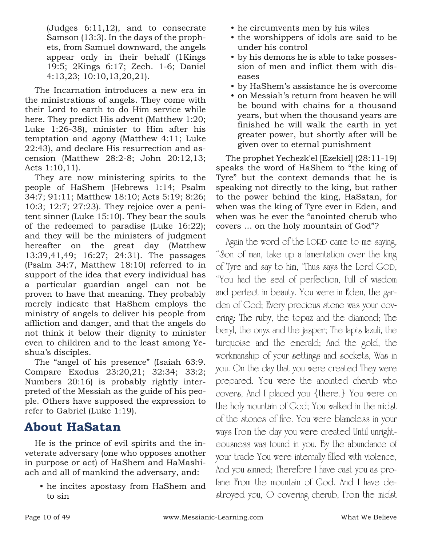(Judges 6:11,12), and to consecrate Samson (13:3). In the days of the prophets, from Samuel downward, the angels appear only in their behalf (1Kings 19:5; 2Kings 6:17; Zech. 1-6; Daniel 4:13,23; 10:10,13,20,21).

The Incarnation introduces a new era in the ministrations of angels. They come with their Lord to earth to do Him service while here. They predict His advent (Matthew 1:20; Luke 1:26-38), minister to Him after his temptation and agony (Matthew 4:11; Luke 22:43), and declare His resurrection and ascension (Matthew 28:2-8; John 20:12,13; Acts 1:10,11).

They are now ministering spirits to the people of HaShem (Hebrews 1:14; Psalm 34:7; 91:11; Matthew 18:10; Acts 5:19; 8:26; 10:3; 12:7; 27:23). They rejoice over a penitent sinner (Luke 15:10). They bear the souls of the redeemed to paradise (Luke 16:22); and they will be the ministers of judgment hereafter on the great day (Matthew 13:39,41,49; 16:27; 24:31). The passages (Psalm 34:7, Matthew 18:10) referred to in support of the idea that every individual has a particular guardian angel can not be proven to have that meaning. They probably merely indicate that HaShem employs the ministry of angels to deliver his people from affliction and danger, and that the angels do not think it below their dignity to minister even to children and to the least among Yeshua's disciples.

The "angel of his presence" (Isaiah 63:9. Compare Exodus 23:20,21; 32:34; 33:2; Numbers 20:16) is probably rightly interpreted of the Messiah as the guide of his people. Others have supposed the expression to refer to Gabriel (Luke 1:19).

### **About HaSatan**

He is the prince of evil spirits and the inveterate adversary (one who opposes another in purpose or act) of HaShem and HaMashiach and all of mankind the adversary, and:

• he incites apostasy from HaShem and to sin

- he circumvents men by his wiles
- the worshippers of idols are said to be under his control
- by his demons he is able to take possession of men and inflict them with diseases
- by HaShem's assistance he is overcome
- on Messiah's return from heaven he will be bound with chains for a thousand years, but when the thousand years are finished he will walk the earth in yet greater power, but shortly after will be given over to eternal punishment

The prophet Yechezk'el [Ezekiel] (28:11-19) speaks the word of HaShem to "the king of Tyre" but the context demands that he is speaking not directly to the king, but rather to the power behind the king, HaSatan, for when was the king of Tyre ever in Eden, and when was he ever the "anointed cherub who covers … on the holy mountain of God"?

Again the word of the LORD came to me saying, "Son of man, take up a lamentation over the king of Tyre and say to him, 'Thus says the Lord GOD, "You had the seal of perfection, Full of wisdom and perfect in beauty. You were in Eden, the garden of God; Every precious stone was your covering: The ruby, the topaz and the diamond; The beryl, the onyx and the jasper; The lapis lazuli, the turquoise and the emerald; And the gold, the workmanship of your settings and sockets, Was in you. On the day that you were created They were prepared. You were the anointed cherub who covers, And I placed you {there.} You were on the holy mountain of God; You walked in the midst of the stones of fire. You were blameless in your ways From the day you were created Until unrighteousness was found in you. By the abundance of your trade You were internally filled with violence, And you sinned; Therefore I have cast you as profane From the mountain of God. And I have destroyed you, O covering cherub, From the midst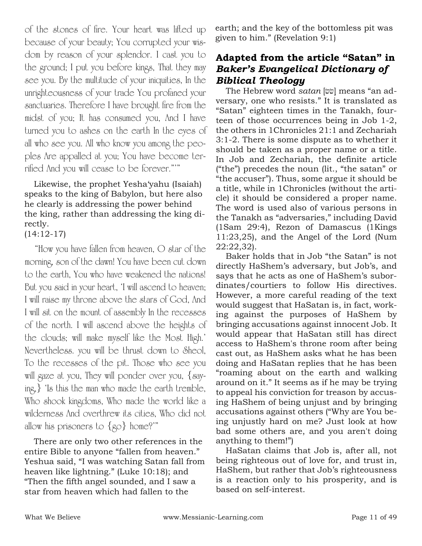of the stones of fire. Your heart was lifted up because of your beauty; You corrupted your wisdom by reason of your splendor. I cast you to the ground; I put you before kings, That they may see you. By the multitude of your iniquities, In the unrighteousness of your trade You profaned your sanctuaries. Therefore I have brought fire from the midst of you; It has consumed you, And I have turned you to ashes on the earth In the eyes of all who see you. All who know you among the peoples Are appalled at you; You have become terrified And you will cease to be forever."'"

Likewise, the prophet Yesha'yahu (Isaiah) speaks to the king of Babylon, but here also he clearly is addressing the power behind the king, rather than addressing the king directly. (14:12-17)

"How you have fallen from heaven, O star of the morning, son of the dawn! You have been cut down to the earth, You who have weakened the nations! But you said in your heart, 'I will ascend to heaven; I will raise my throne above the stars of God, And I will sit on the mount of assembly In the recesses of the north. I will ascend above the heights of the clouds; will make myself like the Most High.' Nevertheless. you will be thrust down to Sheol, To the recesses of the pit. Those who see you will gaze at you, They will ponder over you, {saying,} 'Is this the man who made the earth tremble, Who shook kingdoms, Who made the world like a wilderness And overthrew its cities, Who did not allow his prisoners to {go} home?'"

There are only two other references in the entire Bible to anyone "fallen from heaven." Yeshua said, "I was watching Satan fall from heaven like lightning." (Luke 10:18); and "Then the fifth angel sounded, and I saw a star from heaven which had fallen to the

earth; and the key of the bottomless pit was given to him." (Revelation 9:1)

#### **Adapted from the article "Satan" in** *Baker's Evangelical Dictionary of Biblical Theology*

The Hebrew word *satan* [ $\ddot{w}$ ] means "an adversary, one who resists." It is translated as "Satan" eighteen times in the Tanakh, fourteen of those occurrences being in Job 1-2, the others in 1Chronicles 21:1 and Zechariah 3:1-2. There is some dispute as to whether it should be taken as a proper name or a title. In Job and Zechariah, the definite article ("the") precedes the noun (lit., "the satan" or "the accuser"). Thus, some argue it should be a title, while in 1Chronicles (without the article) it should be considered a proper name. The word is used also of various persons in the Tanakh as "adversaries," including David (1Sam 29:4), Rezon of Damascus (1Kings 11:23,25), and the Angel of the Lord (Num 22:22,32).

Baker holds that in Job "the Satan" is not directly HaShem's adversary, but Job's, and says that he acts as one of HaShem's subordinates/courtiers to follow His directives. However, a more careful reading of the text would suggest that HaSatan is, in fact, working against the purposes of HaShem by bringing accusations against innocent Job. It would appear that HaSatan still has direct access to HaShem's throne room after being cast out, as HaShem asks what he has been doing and HaSatan replies that he has been "roaming about on the earth and walking around on it." It seems as if he may be trying to appeal his conviction for treason by accusing HaShem of being unjust and by bringing accusations against others ("Why are You being unjustly hard on me? Just look at how bad some others are, and you aren't doing anything to them!")

HaSatan claims that Job is, after all, not being righteous out of love for, and trust in, HaShem, but rather that Job's righteousness is a reaction only to his prosperity, and is based on self-interest.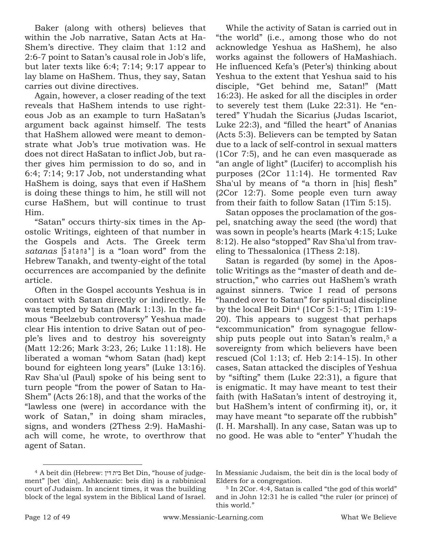Baker (along with others) believes that within the Job narrative, Satan Acts at Ha-Shem's directive. They claim that 1:12 and 2:6-7 point to Satan's causal role in Job's life, but later texts like 6:4; 7:14; 9:17 appear to lay blame on HaShem. Thus, they say, Satan carries out divine directives.

Again, however, a closer reading of the text reveals that HaShem intends to use righteous Job as an example to turn HaSatan's argument back against himself. The tests that HaShem allowed were meant to demonstrate what Job's true motivation was. He does not direct HaSatan to inflict Job, but rather gives him permission to do so, and in 6:4; 7:14; 9:17 Job, not understanding what HaShem is doing, says that even if HaShem is doing these things to him, he still will not curse HaShem, but will continue to trust Him.

"Satan" occurs thirty-six times in the Apostolic Writings, eighteen of that number in the Gospels and Acts. The Greek term satanas [Satana"] is a "loan word" from the Hebrew Tanakh, and twenty-eight of the total occurrences are accompanied by the definite article.

Often in the Gospel accounts Yeshua is in contact with Satan directly or indirectly. He was tempted by Satan (Mark 1:13). In the famous "Beelzebub controversy" Yeshua made clear His intention to drive Satan out of people's lives and to destroy his sovereignty (Matt 12:26; Mark 3:23, 26; Luke 11:18). He liberated a woman "whom Satan (had) kept bound for eighteen long years" (Luke 13:16). Rav Sha'ul (Paul) spoke of his being sent to turn people "from the power of Satan to Ha-Shem" (Acts 26:18), and that the works of the "lawless one (were) in accordance with the work of Satan," in doing sham miracles, signs, and wonders (2Thess 2:9). HaMashiach will come, he wrote, to overthrow that agent of Satan.

While the activity of Satan is carried out in "the world" (i.e., among those who do not acknowledge Yeshua as HaShem), he also works against the followers of HaMashiach. He influenced Kefa's (Peter's) thinking about Yeshua to the extent that Yeshua said to his disciple, "Get behind me, Satan!" (Matt 16:23). He asked for all the disciples in order to severely test them (Luke 22:31). He "entered" Y'hudah the Sicarius (Judas Iscariot, Luke 22:3), and "filled the heart" of Ananias (Acts 5:3). Believers can be tempted by Satan due to a lack of self-control in sexual matters (1Cor 7:5), and he can even masquerade as "an angle of light" (Lucifer) to accomplish his purposes (2Cor 11:14). He tormented Rav Sha'ul by means of "a thorn in [his] flesh"

from their faith to follow Satan (1Tim 5:15). Satan opposes the proclamation of the gospel, snatching away the seed (the word) that was sown in people's hearts (Mark 4:15; Luke 8:12). He also "stopped" Rav Sha'ul from traveling to Thessalonica (1Thess 2:18).

(2Cor 12:7). Some people even turn away

Satan is regarded (by some) in the Apostolic Writings as the "master of death and destruction," who carries out HaShem's wrath against sinners. Twice I read of persons "handed over to Satan" for spiritual discipline by the local Beit Din<sup>4</sup> (1Cor 5:1-5; 1Tim 1:19- 20). This appears to suggest that perhaps "excommunication" from synagogue fellowship puts people out into Satan's realm, <sup>5</sup> a sovereignty from which believers have been rescued (Col 1:13; cf. Heb 2:14-15). In other cases, Satan attacked the disciples of Yeshua by "sifting" them (Luke 22:31), a figure that is enigmatic. It may have meant to test their faith (with HaSatan's intent of destroying it, but HaShem's intent of confirming it), or, it may have meant "to separate off the rubbish" (I. H. Marshall). In any case, Satan was up to no good. He was able to "enter" Y'hudah the

<sup>4</sup> A beit din (Hebrew: דין בית Bet Din, "house of judgement" [bet ˈdin], Ashkenazic: beis din) is a rabbinical court of Judaism. In ancient times, it was the building block of the legal system in the Biblical Land of Israel.

In Messianic Judaism, the beit din is the local body of Elders for a congregation.

<sup>5</sup> In 2Cor. 4:4, Satan is called "the god of this world" and in John 12:31 he is called "the ruler (or prince) of this world."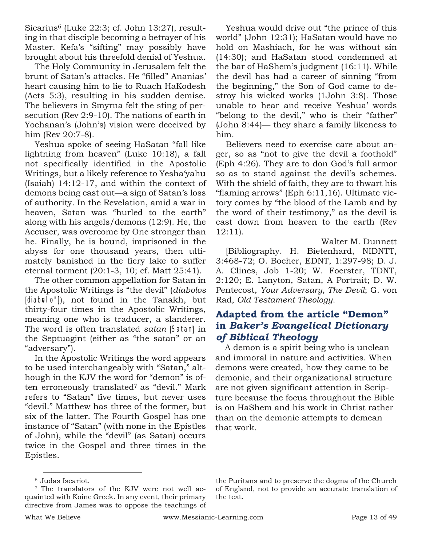Sicarius<sup>6</sup> (Luke 22:3; cf. John 13:27), resulting in that disciple becoming a betrayer of his Master. Kefa's "sifting" may possibly have brought about his threefold denial of Yeshua.

The Holy Community in Jerusalem felt the brunt of Satan's attacks. He "filled" Ananias' heart causing him to lie to Ruach HaKodesh (Acts 5:3), resulting in his sudden demise. The believers in Smyrna felt the sting of persecution (Rev 2:9-10). The nations of earth in Yochanan's (John's) vision were deceived by him (Rev 20:7-8).

Yeshua spoke of seeing HaSatan "fall like lightning from heaven" (Luke 10:18), a fall not specifically identified in the Apostolic Writings, but a likely reference to Yesha'yahu (Isaiah) 14:12-17, and within the context of demons being cast out—a sign of Satan's loss of authority. In the Revelation, amid a war in heaven, Satan was "hurled to the earth" along with his angels/demons (12:9). He, the Accuser, was overcome by One stronger than he. Finally, he is bound, imprisoned in the abyss for one thousand years, then ultimately banished in the fiery lake to suffer eternal torment (20:1-3, 10; cf. Matt 25:41).

The other common appellation for Satan in the Apostolic Writings is "the devil" (*diabolos* [diabolo"]), not found in the Tanakh, but thirty-four times in the Apostolic Writings, meaning one who is traducer, a slanderer. The word is often translated *satan* [Satan] in the Septuagint (either as "the satan" or an "adversary").

In the Apostolic Writings the word appears to be used interchangeably with "Satan," although in the KJV the word for "demon" is often erroneously translated<sup>7</sup> as "devil." Mark refers to "Satan" five times, but never uses "devil." Matthew has three of the former, but six of the latter. The Fourth Gospel has one instance of "Satan" (with none in the Epistles of John), while the "devil" (as Satan) occurs twice in the Gospel and three times in the Epistles.

Yeshua would drive out "the prince of this world" (John 12:31); HaSatan would have no hold on Mashiach, for he was without sin (14:30); and HaSatan stood condemned at the bar of HaShem's judgment (16:11). While the devil has had a career of sinning "from the beginning," the Son of God came to destroy his wicked works (1John 3:8). Those unable to hear and receive Yeshua' words "belong to the devil," who is their "father" (John 8:44)— they share a family likeness to him.

Believers need to exercise care about anger, so as "not to give the devil a foothold" (Eph 4:26). They are to don God's full armor so as to stand against the devil's schemes. With the shield of faith, they are to thwart his "flaming arrows" (Eph 6:11,16). Ultimate victory comes by "the blood of the Lamb and by the word of their testimony," as the devil is cast down from heaven to the earth (Rev 12:11).

Walter M. Dunnett

[Bibliography. H. Bietenhard, NIDNTT, 3:468-72; O. Bocher, EDNT, 1:297-98; D. J. A. Clines, Job 1-20; W. Foerster, TDNT, 2:120; E. Lanyton, Satan, A Portrait; D. W. Pentecost, *Your Adversary, The Devil*; G. von Rad, *Old Testament Theology*.

#### **Adapted from the article "Demon" in** *Baker's Evangelical Dictionary of Biblical Theology*

A demon is a spirit being who is unclean and immoral in nature and activities. When demons were created, how they came to be demonic, and their organizational structure are not given significant attention in Scripture because the focus throughout the Bible is on HaShem and his work in Christ rather than on the demonic attempts to demean that work.

<sup>6</sup> Judas Iscariot.

<sup>7</sup> The translators of the KJV were not well acquainted with Koine Greek. In any event, their primary directive from James was to oppose the teachings of

the Puritans and to preserve the dogma of the Church of England, not to provide an accurate translation of the text.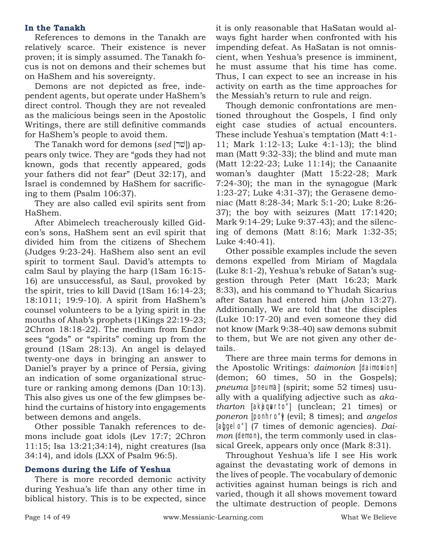#### **In the Tanakh**

References to demons in the Tanakh are relatively scarce. Their existence is never proven; it is simply assumed. The Tanakh focus is not on demons and their schemes but on HaShem and his sovereignty.

Demons are not depicted as free, independent agents, but operate under HaShem's direct control. Though they are not revealed as the malicious beings seen in the Apostolic Writings, there are still definitive commands for HaShem's people to avoid them.

The Tanakh word for demons (*sed* [שר]) appears only twice. They are "gods they had not known, gods that recently appeared, gods your fathers did not fear" (Deut 32:17), and Israel is condemned by HaShem for sacrificing to them (Psalm 106:37).

They are also called evil spirits sent from HaShem.

After Abimelech treacherously killed Gideon's sons, HaShem sent an evil spirit that divided him from the citizens of Shechem (Judges 9:23-24). HaShem also sent an evil spirit to torment Saul. David's attempts to calm Saul by playing the harp (1Sam 16:15- 16) are unsuccessful, as Saul, provoked by the spirit, tries to kill David (1Sam 16:14-23; 18:1011; 19:9-10). A spirit from HaShem's counsel volunteers to be a lying spirit in the mouths of Ahab's prophets (1Kings 22:19-23; 2Chron 18:18-22). The medium from Endor sees "gods" or "spirits" coming up from the ground (1Sam 28:13). An angel is delayed twenty-one days in bringing an answer to Daniel's prayer by a prince of Persia, giving an indication of some organizational structure or ranking among demons (Dan 10:13). This also gives us one of the few glimpses behind the curtains of history into engagements between demons and angels.

Other possible Tanakh references to demons include goat idols (Lev 17:7; 2Chron 11:15; Isa 13:21;34:14), night creatures (Isa 34:14), and idols (LXX of Psalm 96:5).

#### **Demons during the Life of Yeshua**

There is more recorded demonic activity during Yeshua's life than any other time in biblical history. This is to be expected, since it is only reasonable that HaSatan would always fight harder when confronted with his impending defeat. As HaSatan is not omniscient, when Yeshua's presence is imminent, he must assume that his time has come. Thus, I can expect to see an increase in his activity on earth as the time approaches for the Messiah's return to rule and reign.

Though demonic confrontations are mentioned throughout the Gospels, I find only eight case studies of actual encounters. These include Yeshua's temptation (Matt 4:1- 11; Mark 1:12-13; Luke 4:1-13); the blind man (Matt 9:32-33); the blind and mute man (Matt 12:22-23; Luke 11:14); the Canaanite woman's daughter (Matt 15:22-28; Mark 7:24-30); the man in the synagogue (Mark 1:23-27; Luke 4:31-37); the Gerasene demoniac (Matt 8:28-34; Mark 5:1-20; Luke 8:26- 37); the boy with seizures (Matt 17:1420; Mark 9:14-29; Luke 9:37-43); and the silencing of demons (Matt 8:16; Mark 1:32-35; Luke 4:40-41).

Other possible examples include the seven demons expelled from Miriam of Magdala (Luke 8:1-2), Yeshua's rebuke of Satan's suggestion through Peter (Matt 16:23; Mark 8:33), and his command to Y'hudah Sicarius after Satan had entered him (John 13:27). Additionally, We are told that the disciples (Luke 10:17-20) and even someone they did not know (Mark 9:38-40) saw demons submit to them, but We are not given any other details.

There are three main terms for demons in the Apostolic Writings: *daimonion* [daimonion] (demon; 60 times, 50 in the Gospels); *pneuma* [pneum'a] (spirit; some 52 times) usually with a qualifying adjective such as *akatharton* [akjaqvarto"] (unclean; 21 times) or *poneron* [ponhro") (evil; 8 times); and *angelos* [angle]<sup>o"</sup>] (7 times of demonic agencies). *Daimon* (demon), the term commonly used in classical Greek, appears only once (Mark 8:31).

Throughout Yeshua's life I see His work against the devastating work of demons in the lives of people. The vocabulary of demonic activities against human beings is rich and varied, though it all shows movement toward the ultimate destruction of people. Demons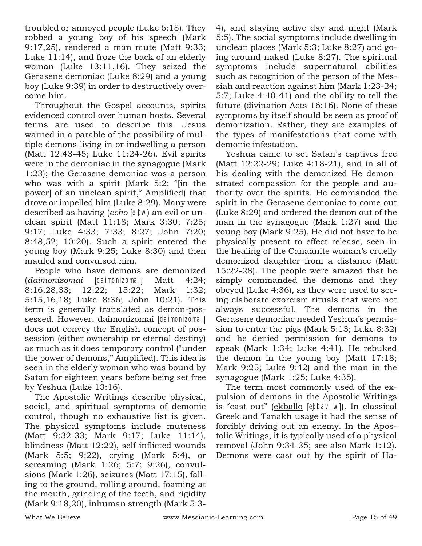troubled or annoyed people (Luke 6:18). They robbed a young boy of his speech (Mark 9:17,25), rendered a man mute (Matt 9:33; Luke 11:14), and froze the back of an elderly woman (Luke 13:11,16). They seized the Gerasene demoniac (Luke 8:29) and a young boy (Luke 9:39) in order to destructively overcome him.

Throughout the Gospel accounts, spirits evidenced control over human hosts. Several terms are used to describe this. Jesus warned in a parable of the possibility of multiple demons living in or indwelling a person (Matt 12:43-45; Luke 11:24-26). Evil spirits were in the demoniac in the synagogue (Mark 1:23); the Gerasene demoniac was a person who was with a spirit (Mark 5:2; "[in the power] of an unclean spirit," Amplified) that drove or impelled him (Luke 8:29). Many were described as having (*echo* [e  $\ell$ w] an evil or unclean spirit (Matt 11:18; Mark 3:30; 7:25; 9:17; Luke 4:33; 7:33; 8:27; John 7:20; 8:48,52; 10:20). Such a spirit entered the young boy (Mark 9:25; Luke 8:30) and then mauled and convulsed him.

People who have demons are demonized (*daimonizomai* [daimonizomai] Matt 4:24; 8:16,28,33; 12:22; 15:22; Mark 1:32; 5:15,16,18; Luke 8:36; John 10:21). This term is generally translated as demon-possessed. However, daimonizomai [daimonizomai] does not convey the English concept of possession (either ownership or eternal destiny) as much as it does temporary control ("under the power of demons," Amplified). This idea is seen in the elderly woman who was bound by Satan for eighteen years before being set free by Yeshua (Luke 13:16).

The Apostolic Writings describe physical, social, and spiritual symptoms of demonic control, though no exhaustive list is given. The physical symptoms include muteness (Matt 9:32-33; Mark 9:17; Luke 11:14), blindness (Matt 12:22), self-inflicted wounds (Mark 5:5; 9:22), crying (Mark 5:4), or screaming (Mark 1:26; 5:7; 9:26), convulsions (Mark 1:26), seizures (Matt 17:15), falling to the ground, rolling around, foaming at the mouth, grinding of the teeth, and rigidity (Mark 9:18,20), inhuman strength (Mark 5:34), and staying active day and night (Mark 5:5). The social symptoms include dwelling in unclean places (Mark 5:3; Luke 8:27) and going around naked (Luke 8:27). The spiritual symptoms include supernatural abilities such as recognition of the person of the Messiah and reaction against him (Mark 1:23-24; 5:7; Luke 4:40-41) and the ability to tell the future (divination Acts 16:16). None of these symptoms by itself should be seen as proof of demonization. Rather, they are examples of the types of manifestations that come with demonic infestation.

Yeshua came to set Satan's captives free (Matt 12:22-29; Luke 4:18-21), and in all of his dealing with the demonized He demonstrated compassion for the people and authority over the spirits. He commanded the spirit in the Gerasene demoniac to come out (Luke 8:29) and ordered the demon out of the man in the synagogue (Mark 1:27) and the young boy (Mark 9:25). He did not have to be physically present to effect release, seen in the healing of the Canaanite woman's cruelly demonized daughter from a distance (Matt 15:22-28). The people were amazed that he simply commanded the demons and they obeyed (Luke 4:36), as they were used to seeing elaborate exorcism rituals that were not always successful. The demons in the Gerasene demoniac needed Yeshua's permission to enter the pigs (Mark 5:13; Luke 8:32) and he denied permission for demons to speak (Mark 1:34; Luke 4:41). He rebuked the demon in the young boy (Matt 17:18; Mark 9:25; Luke 9:42) and the man in the synagogue (Mark 1:25; Luke 4:35).

The term most commonly used of the expulsion of demons in the Apostolic Writings is "cast out" (ekballo [ekbavlw]). In classical Greek and Tanakh usage it had the sense of forcibly driving out an enemy. In the Apostolic Writings, it is typically used of a physical removal (John 9:34-35; see also Mark 1:12). Demons were cast out by the spirit of Ha-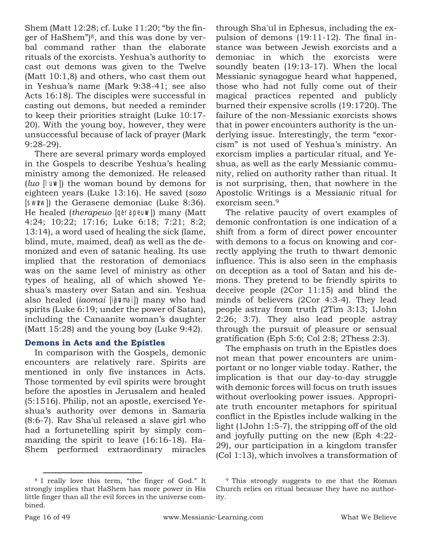Shem (Matt 12:28; cf. Luke 11:20; "by the finger of HaShem")8, and this was done by verbal command rather than the elaborate rituals of the exorcists. Yeshua's authority to cast out demons was given to the Twelve (Matt 10:1,8) and others, who cast them out in Yeshua's name (Mark 9:38-41; see also Acts 16:18). The disciples were successful in casting out demons, but needed a reminder to keep their priorities straight (Luke 10:17- 20). With the young boy, however, they were unsuccessful because of lack of prayer (Mark 9:28-29).

There are several primary words employed in the Gospels to describe Yeshua's healing ministry among the demonized. He released (*luo* [luvw]) the woman bound by demons for eighteen years (Luke 13:16). He saved (*sozo* [SWZW]) the Gerasene demoniac (Luke 8:36). He healed *(therapeuo [gerapeuw])* many *(Matt* 4:24; 10:22; 17:16; Luke 6:18; 7:21; 8:2; 13:14), a word used of healing the sick (lame, blind, mute, maimed, deaf) as well as the demonized and even of satanic healing. Its use implied that the restoration of demoniacs was on the same level of ministry as other types of healing, all of which showed Yeshua's mastery over Satan and sin. Yeshua also healed *(iaomai* [ihomai]) many who had spirits (Luke 6:19; under the power of Satan), including the Canaanite woman's daughter (Matt 15:28) and the young boy (Luke 9:42).

#### **Demons in Acts and the Epistles**

In comparison with the Gospels, demonic encounters are relatively rare. Spirits are mentioned in only five instances in Acts. Those tormented by evil spirits were brought before the apostles in Jerusalem and healed (5:1516). Philip, not an apostle, exercised Yeshua's authority over demons in Samaria (8:6-7). Rav Sha'ul released a slave girl who had a fortunetelling spirit by simply commanding the spirit to leave (16:16-18). Ha-Shem performed extraordinary miracles through Sha'ul in Ephesus, including the expulsion of demons (19:11-12). The final instance was between Jewish exorcists and a demoniac in which the exorcists were soundly beaten (19:13-17). When the local Messianic synagogue heard what happened, those who had not fully come out of their magical practices repented and publicly burned their expensive scrolls (19:1720). The failure of the non-Messianic exorcists shows that in power encounters authority is the underlying issue. Interestingly, the term "exorcism" is not used of Yeshua's ministry. An exorcism implies a particular ritual, and Yeshua, as well as the early Messianic community, relied on authority rather than ritual. It is not surprising, then, that nowhere in the Apostolic Writings is a Messianic ritual for exorcism seen.<sup>9</sup>

The relative paucity of overt examples of demonic confrontation is one indication of a shift from a form of direct power encounter with demons to a focus on knowing and correctly applying the truth to thwart demonic influence. This is also seen in the emphasis on deception as a tool of Satan and his demons. They pretend to be friendly spirits to deceive people (2Cor 11:15) and blind the minds of believers (2Cor 4:3-4). They lead people astray from truth (2Tim 3:13; 1John 2:26; 3:7). They also lead people astray through the pursuit of pleasure or sensual gratification (Eph 5:6; Col 2:8; 2Thess 2:3).

The emphasis on truth in the Epistles does not mean that power encounters are unimportant or no longer viable today. Rather, the implication is that our day-to-day struggle with demonic forces will focus on truth issues without overlooking power issues. Appropriate truth encounter metaphors for spiritual conflict in the Epistles include walking in the light (1John 1:5-7), the stripping off of the old and joyfully putting on the new (Eph 4:22- 29), our participation in a kingdom transfer (Col 1:13), which involves a transformation of

<sup>8</sup> I really love this term, "the finger of God." It strongly implies that HaShem has more power in His little finger than all the evil forces in the universe combined.

<sup>&</sup>lt;sup>9</sup> This strongly suggests to me that the Roman Church relies on ritual because they have no authority.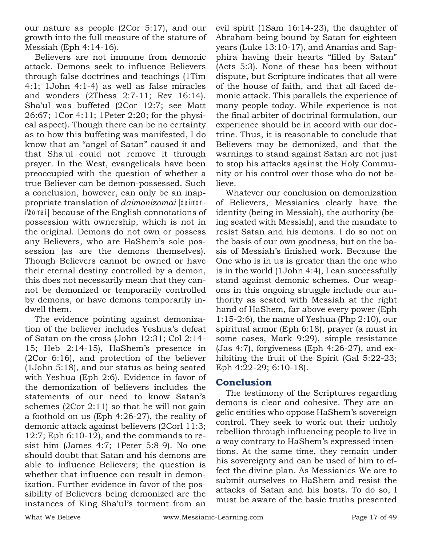our nature as people (2Cor 5:17), and our growth into the full measure of the stature of Messiah (Eph 4:14-16).

Believers are not immune from demonic attack. Demons seek to influence Believers through false doctrines and teachings (1Tim 4:1; 1John 4:1-4) as well as false miracles and wonders (2Thess 2:7-11; Rev 16:14). Sha'ul was buffeted (2Cor 12:7; see Matt 26:67; 1Cor 4:11; 1Peter 2:20; for the physical aspect). Though there can be no certainty as to how this buffeting was manifested, I do know that an "angel of Satan" caused it and that Sha'ul could not remove it through prayer. In the West, evangelicals have been preoccupied with the question of whether a true Believer can be demon-possessed. Such a conclusion, however, can only be an inappropriate translation of *daimonizomai* [daimoniVzomai] because of the English connotations of possession with ownership, which is not in the original. Demons do not own or possess any Believers, who are HaShem's sole possession (as are the demons themselves). Though Believers cannot be owned or have their eternal destiny controlled by a demon, this does not necessarily mean that they cannot be demonized or temporarily controlled by demons, or have demons temporarily indwell them.

The evidence pointing against demonization of the believer includes Yeshua's defeat of Satan on the cross (John 12:31; Col 2:14- 15; Heb 2:14-15), HaShem's presence in (2Cor 6:16), and protection of the believer (1John 5:18), and our status as being seated with Yeshua (Eph 2:6). Evidence in favor of the demonization of believers includes the statements of our need to know Satan's schemes (2Cor 2:11) so that he will not gain a foothold on us (Eph 4:26-27), the reality of demonic attack against believers (2Corl 11:3; 12:7; Eph 6:10-12), and the commands to resist him (James 4:7; 1Peter 5:8-9). No one should doubt that Satan and his demons are able to influence Believers; the question is whether that influence can result in demonization. Further evidence in favor of the possibility of Believers being demonized are the instances of King Sha'ul's torment from an evil spirit (1Sam 16:14-23), the daughter of Abraham being bound by Satan for eighteen years (Luke 13:10-17), and Ananias and Sapphira having their hearts "filled by Satan" (Acts 5:3). None of these has been without dispute, but Scripture indicates that all were of the house of faith, and that all faced demonic attack. This parallels the experience of many people today. While experience is not the final arbiter of doctrinal formulation, our experience should be in accord with our doctrine. Thus, it is reasonable to conclude that Believers may be demonized, and that the warnings to stand against Satan are not just to stop his attacks against the Holy Community or his control over those who do not believe.

Whatever our conclusion on demonization of Believers, Messianics clearly have the identity (being in Messiah), the authority (being seated with Messiah), and the mandate to resist Satan and his demons. I do so not on the basis of our own goodness, but on the basis of Messiah's finished work. Because the One who is in us is greater than the one who is in the world (1John 4:4), I can successfully stand against demonic schemes. Our weapons in this ongoing struggle include our authority as seated with Messiah at the right hand of HaShem, far above every power (Eph 1:15-2:6), the name of Yeshua (Php 2:10), our spiritual armor (Eph 6:18), prayer (a must in some cases, Mark 9:29), simple resistance (Jas 4:7), forgiveness (Eph 4:26-27), and exhibiting the fruit of the Spirit (Gal 5:22-23; Eph 4:22-29; 6:10-18).

#### **Conclusion**

The testimony of the Scriptures regarding demons is clear and cohesive. They are angelic entities who oppose HaShem's sovereign control. They seek to work out their unholy rebellion through influencing people to live in a way contrary to HaShem's expressed intentions. At the same time, they remain under his sovereignty and can be used of him to effect the divine plan. As Messianics We are to submit ourselves to HaShem and resist the attacks of Satan and his hosts. To do so, I must be aware of the basic truths presented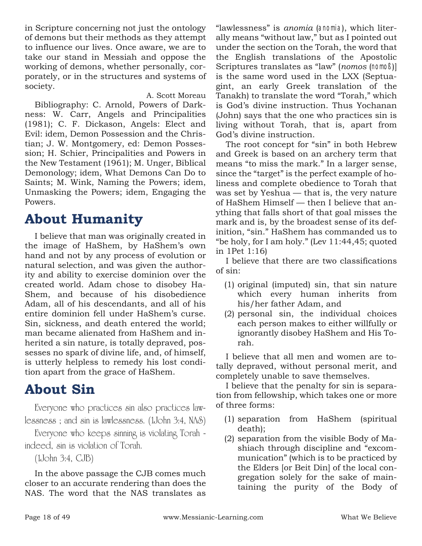in Scripture concerning not just the ontology of demons but their methods as they attempt to influence our lives. Once aware, we are to take our stand in Messiah and oppose the working of demons, whether personally, corporately, or in the structures and systems of society.

A. Scott Moreau

Bibliography: C. Arnold, Powers of Darkness: W. Carr, Angels and Principalities (1981); C. F. Dickason, Angels: Elect and Evil: idem, Demon Possession and the Christian; J. W. Montgomery, ed: Demon Possession; H. Schier, Principalities and Powers in the New Testament (1961); M. Unger, Biblical Demonology; idem, What Demons Can Do to Saints; M. Wink, Naming the Powers; idem, Unmasking the Powers; idem, Engaging the Powers.

## **About Humanity**

I believe that man was originally created in the image of HaShem, by HaShem's own hand and not by any process of evolution or natural selection, and was given the authority and ability to exercise dominion over the created world. Adam chose to disobey Ha-Shem, and because of his disobedience Adam, all of his descendants, and all of his entire dominion fell under HaShem's curse. Sin, sickness, and death entered the world; man became alienated from HaShem and inherited a sin nature, is totally depraved, possesses no spark of divine life, and, of himself, is utterly helpless to remedy his lost condition apart from the grace of HaShem.

## **About Sin**

Everyone who practices sin also practices lawlessness ; and sin is lawlessness. (1John 3:4, NAS)

Everyone who keeps sinning is violating Torah indeed, sin is violation of Torah.

(1John 3:4, CJB)

In the above passage the CJB comes much closer to an accurate rendering than does the NAS. The word that the NAS translates as

"lawlessness" is *anomia* (anomia), which literally means "without law," but as I pointed out under the section on the Torah, the word that the English translations of the Apostolic Scriptures translates as "law" (*nomos* (nomoß)] is the same word used in the LXX (Septuagint, an early Greek translation of the Tanakh) to translate the word "Torah," which is God's divine instruction. Thus Yochanan (John) says that the one who practices sin is living without Torah, that is, apart from God's divine instruction.

The root concept for "sin" in both Hebrew and Greek is based on an archery term that means "to miss the mark." In a larger sense, since the "target" is the perfect example of holiness and complete obedience to Torah that was set by Yeshua — that is, the very nature of HaShem Himself — then I believe that anything that falls short of that goal misses the mark and is, by the broadest sense of its definition, "sin." HaShem has commanded us to "be holy, for I am holy." (Lev 11:44,45; quoted in 1Pet 1:16)

I believe that there are two classifications of sin:

- (1) original (imputed) sin, that sin nature which every human inherits from his/her father Adam, and
- (2) personal sin, the individual choices each person makes to either willfully or ignorantly disobey HaShem and His Torah.

I believe that all men and women are totally depraved, without personal merit, and completely unable to save themselves.

I believe that the penalty for sin is separation from fellowship, which takes one or more of three forms:

- (1) separation from HaShem (spiritual death);
- (2) separation from the visible Body of Mashiach through discipline and "excommunication" (which is to be practiced by the Elders [or Beit Din] of the local congregation solely for the sake of maintaining the purity of the Body of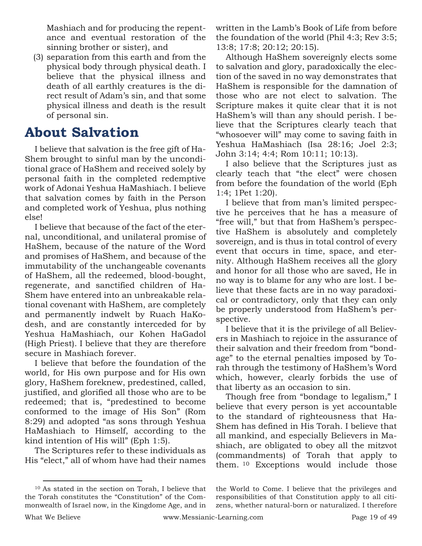Mashiach and for producing the repentance and eventual restoration of the sinning brother or sister), and

(3) separation from this earth and from the physical body through physical death. I believe that the physical illness and death of all earthly creatures is the direct result of Adam's sin, and that some physical illness and death is the result of personal sin.

## **About Salvation**

I believe that salvation is the free gift of Ha-Shem brought to sinful man by the unconditional grace of HaShem and received solely by personal faith in the completed redemptive work of Adonai Yeshua HaMashiach. I believe that salvation comes by faith in the Person and completed work of Yeshua, plus nothing else!

I believe that because of the fact of the eternal, unconditional, and unilateral promise of HaShem, because of the nature of the Word and promises of HaShem, and because of the immutability of the unchangeable covenants of HaShem, all the redeemed, blood-bought, regenerate, and sanctified children of Ha-Shem have entered into an unbreakable relational covenant with HaShem, are completely and permanently indwelt by Ruach HaKodesh, and are constantly interceded for by Yeshua HaMashiach, our Kohen HaGadol (High Priest). I believe that they are therefore secure in Mashiach forever.

I believe that before the foundation of the world, for His own purpose and for His own glory, HaShem foreknew, predestined, called, justified, and glorified all those who are to be redeemed; that is, "predestined to become conformed to the image of His Son" (Rom 8:29) and adopted "as sons through Yeshua HaMashiach to Himself, according to the kind intention of His will" (Eph 1:5).

The Scriptures refer to these individuals as His "elect," all of whom have had their names written in the Lamb's Book of Life from before the foundation of the world (Phil 4:3; Rev 3:5; 13:8; 17:8; 20:12; 20:15).

Although HaShem sovereignly elects some to salvation and glory, paradoxically the election of the saved in no way demonstrates that HaShem is responsible for the damnation of those who are not elect to salvation. The Scripture makes it quite clear that it is not HaShem's will than any should perish. I believe that the Scriptures clearly teach that "whosoever will" may come to saving faith in Yeshua HaMashiach (Isa 28:16; Joel 2:3; John 3:14; 4:4; Rom 10:11; 10:13).

I also believe that the Scriptures just as clearly teach that "the elect" were chosen from before the foundation of the world (Eph 1:4; 1Pet 1:20).

I believe that from man's limited perspective he perceives that he has a measure of "free will," but that from HaShem's perspective HaShem is absolutely and completely sovereign, and is thus in total control of every event that occurs in time, space, and eternity. Although HaShem receives all the glory and honor for all those who are saved, He in no way is to blame for any who are lost. I believe that these facts are in no way paradoxical or contradictory, only that they can only be properly understood from HaShem's perspective.

I believe that it is the privilege of all Believers in Mashiach to rejoice in the assurance of their salvation and their freedom from "bondage" to the eternal penalties imposed by Torah through the testimony of HaShem's Word which, however, clearly forbids the use of that liberty as an occasion to sin.

Though free from "bondage to legalism," I believe that every person is yet accountable to the standard of righteousness that Ha-Shem has defined in His Torah. I believe that all mankind, and especially Believers in Mashiach, are obligated to obey all the mitzvot (commandments) of Torah that apply to them. <sup>10</sup> Exceptions would include those

<sup>10</sup> As stated in the section on Torah, I believe that the Torah constitutes the "Constitution" of the Commonwealth of Israel now, in the Kingdome Age, and in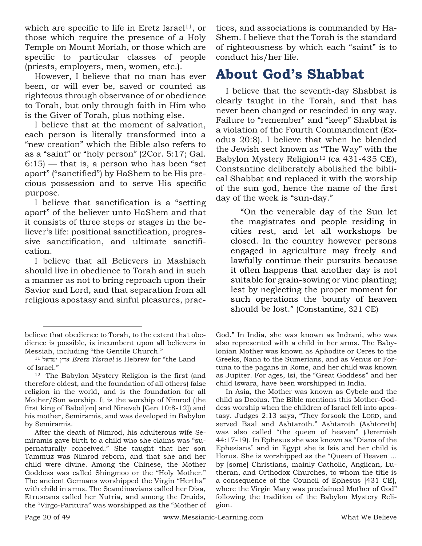which are specific to life in Eretz Israel<sup>11</sup>, or those which require the presence of a Holy Temple on Mount Moriah, or those which are specific to particular classes of people (priests, employers, men, women, etc.).

However, I believe that no man has ever been, or will ever be, saved or counted as righteous through observance of or obedience to Torah, but only through faith in Him who is the Giver of Torah, plus nothing else.

I believe that at the moment of salvation, each person is literally transformed into a "new creation" which the Bible also refers to as a "saint" or "holy person" (2Cor. 5:17; Gal.  $6:15$  – that is, a person who has been "set apart" ("sanctified") by HaShem to be His precious possession and to serve His specific purpose.

I believe that sanctification is a "setting apart" of the believer unto HaShem and that it consists of three steps or stages in the believer's life: positional sanctification, progressive sanctification, and ultimate sanctification.

I believe that all Believers in Mashiach should live in obedience to Torah and in such a manner as not to bring reproach upon their Savior and Lord, and that separation from all religious apostasy and sinful pleasures, prac-

After the death of Nimrod, his adulterous wife Semiramis gave birth to a child who she claims was "supernaturally conceived." She taught that her son Tammuz was Nimrod reborn, and that she and her child were divine. Among the Chinese, the Mother Goddess was called Shingmoo or the "Holy Mother." The ancient Germans worshipped the Virgin "Hertha" with child in arms. The Scandinavians called her Disa, Etruscans called her Nutria, and among the Druids, the "Virgo-Paritura" was worshipped as the "Mother of tices, and associations is commanded by Ha-Shem. I believe that the Torah is the standard of righteousness by which each "saint" is to conduct his/her life.

## **About God's Shabbat**

I believe that the seventh-day Shabbat is clearly taught in the Torah, and that has never been changed or rescinded in any way. Failure to "remember" and "keep" Shabbat is a violation of the Fourth Commandment (Exodus 20:8). I believe that when he blended the Jewish sect known as "The Way" with the Babylon Mystery Religion<sup>12</sup> (ca 431-435 CE), Constantine deliberately abolished the biblical Shabbat and replaced it with the worship of the sun god, hence the name of the first day of the week is "sun-day."

"On the venerable day of the Sun let the magistrates and people residing in cities rest, and let all workshops be closed. In the country however persons engaged in agriculture may freely and lawfully continue their pursuits because it often happens that another day is not suitable for grain-sowing or vine planting; lest by neglecting the proper moment for such operations the bounty of heaven should be lost." (Constantine, 321 CE)

God." In India, she was known as Indrani, who was also represented with a child in her arms. The Babylonian Mother was known as Aphodite or Ceres to the Greeks, Nana to the Sumerians, and as Venus or Fortuna to the pagans in Rome, and her child was known as Jupiter. For ages, Isi, the "Great Goddess" and her child Iswara, have been worshipped in India.

In Asia, the Mother was known as Cybele and the child as Deoius. The Bible mentions this Mother-Goddess worship when the children of Israel fell into apostasy. Judges 2:13 says, "They forsook the LORD, and served Baal and Ashtaroth." Ashtaroth (Ashtoreth) was also called "the queen of heaven" (Jeremiah 44:17-19). In Ephesus she was known as "Diana of the Ephesians" and in Egypt she is Isis and her child is Horus. She is worshipped as the "Queen of Heaven … by [some] Christians, mainly Catholic, Anglican, Lutheran, and Orthodox Churches, to whom the title is a consequence of the Council of Ephesus [431 CE], where the Virgin Mary was proclaimed Mother of God" following the tradition of the Babylon Mystery Religion.

believe that obedience to Torah, to the extent that obedience is possible, is incumbent upon all believers in Messiah, including "the Gentile Church."

<sup>11</sup> **Eretz Yisrael** is Hebrew for "the Land of Israel."

<sup>12</sup> The Babylon Mystery Religion is the first (and therefore oldest, and the foundation of all others) false religion in the world, and is the foundation for all Mother/Son worship. It is the worship of Nimrod (the first king of Babel[on] and Nineveh [Gen 10:8-12]) and his mother, Semiramis, and was developed in Babylon by Semiramis.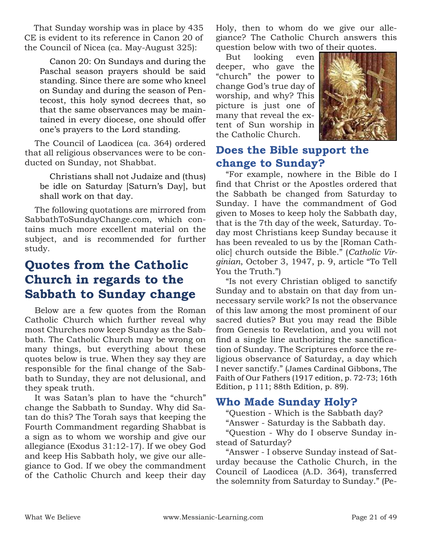That Sunday worship was in place by 435 CE is evident to its reference in Canon 20 of the Council of Nicea (ca. May-August 325):

Canon 20: On Sundays and during the Paschal season prayers should be said standing. Since there are some who kneel on Sunday and during the season of Pentecost, this holy synod decrees that, so that the same observances may be maintained in every diocese, one should offer one's prayers to the Lord standing.

The Council of Laodicea (ca. 364) ordered that all religious observances were to be conducted on Sunday, not Shabbat.

Christians shall not Judaize and (thus) be idle on Saturday [Saturn's Day], but shall work on that day.

The following quotations are mirrored from SabbathToSundayChange.com, which contains much more excellent material on the subject, and is recommended for further study.

## **Quotes from the Catholic Church in regards to the Sabbath to Sunday change**

Below are a few quotes from the Roman Catholic Church which further reveal why most Churches now keep Sunday as the Sabbath. The Catholic Church may be wrong on many things, but everything about these quotes below is true. When they say they are responsible for the final change of the Sabbath to Sunday, they are not delusional, and they speak truth.

It was Satan's plan to have the "church" change the Sabbath to Sunday. Why did Satan do this? The Torah says that keeping the Fourth Commandment regarding Shabbat is a sign as to whom we worship and give our allegiance (Exodus 31:12-17). If we obey God and keep His Sabbath holy, we give our allegiance to God. If we obey the commandment of the Catholic Church and keep their day

Holy, then to whom do we give our allegiance? The Catholic Church answers this question below with two of their quotes.

But looking even deeper, who gave the "church" the power to change God's true day of worship, and why? This picture is just one of many that reveal the extent of Sun worship in the Catholic Church.



### **Does the Bible support the change to Sunday?**

"For example, nowhere in the Bible do I find that Christ or the Apostles ordered that the Sabbath be changed from Saturday to Sunday. I have the commandment of God given to Moses to keep holy the Sabbath day, that is the 7th day of the week, Saturday. Today most Christians keep Sunday because it has been revealed to us by the [Roman Catholic] church outside the Bible." (*Catholic Virginian*, October 3, 1947, p. 9, article "To Tell You the Truth.")

"Is not every Christian obliged to sanctify Sunday and to abstain on that day from unnecessary servile work? Is not the observance of this law among the most prominent of our sacred duties? But you may read the Bible from Genesis to Revelation, and you will not find a single line authorizing the sanctification of Sunday. The Scriptures enforce the religious observance of Saturday, a day which I never sanctify." (James Cardinal Gibbons, The Faith of Our Fathers (1917 edition, p. 72-73; 16th Edition, p 111; 88th Edition, p. 89).

### **Who Made Sunday Holy?**

"Question - Which is the Sabbath day?

"Answer - Saturday is the Sabbath day.

"Question - Why do I observe Sunday instead of Saturday?

"Answer - I observe Sunday instead of Saturday because the Catholic Church, in the Council of Laodicea (A.D. 364), transferred the solemnity from Saturday to Sunday." (Pe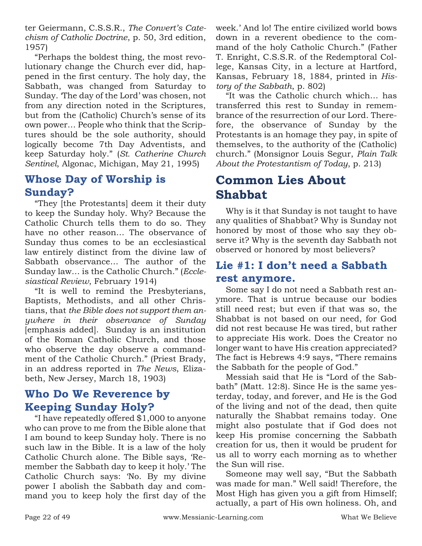ter Geiermann, C.S.S.R., *The Convert's Catechism of Catholic Doctrine*, p. 50, 3rd edition, 1957)

"Perhaps the boldest thing, the most revolutionary change the Church ever did, happened in the first century. The holy day, the Sabbath, was changed from Saturday to Sunday. 'The day of the Lord' was chosen, not from any direction noted in the Scriptures, but from the (Catholic) Church's sense of its own power… People who think that the Scriptures should be the sole authority, should logically become 7th Day Adventists, and keep Saturday holy." (*St. Catherine Church Sentinel*, Algonac, Michigan, May 21, 1995)

### **Whose Day of Worship is Sunday?**

"They [the Protestants] deem it their duty to keep the Sunday holy. Why? Because the Catholic Church tells them to do so. They have no other reason… The observance of Sunday thus comes to be an ecclesiastical law entirely distinct from the divine law of Sabbath observance… The author of the Sunday law… is the Catholic Church." (*Ecclesiastical Review*, February 1914)

"It is well to remind the Presbyterians, Baptists, Methodists, and all other Christians, that *the Bible does not support them anywhere in their observance of Sunday* [emphasis added]. Sunday is an institution of the Roman Catholic Church, and those who observe the day observe a commandment of the Catholic Church." (Priest Brady, in an address reported in *The News*, Elizabeth, New Jersey, March 18, 1903)

### **Who Do We Reverence by Keeping Sunday Holy?**

"I have repeatedly offered \$1,000 to anyone who can prove to me from the Bible alone that I am bound to keep Sunday holy. There is no such law in the Bible. It is a law of the holy Catholic Church alone. The Bible says, 'Remember the Sabbath day to keep it holy.' The Catholic Church says: 'No. By my divine power I abolish the Sabbath day and command you to keep holy the first day of the week.' And lo! The entire civilized world bows down in a reverent obedience to the command of the holy Catholic Church." (Father T. Enright, C.S.S.R. of the Redemptoral College, Kansas City, in a lecture at Hartford, Kansas, February 18, 1884, printed in *History of the Sabbath*, p. 802)

"It was the Catholic church which… has transferred this rest to Sunday in remembrance of the resurrection of our Lord. Therefore, the observance of Sunday by the Protestants is an homage they pay, in spite of themselves, to the authority of the (Catholic) church." (Monsignor Louis Segur, *Plain Talk About the Protestantism of Today*, p. 213)

### **Common Lies About Shabbat**

Why is it that Sunday is not taught to have any qualities of Shabbat? Why is Sunday not honored by most of those who say they observe it? Why is the seventh day Sabbath not observed or honored by most believers?

### **Lie #1: I don't need a Sabbath rest anymore.**

Some say I do not need a Sabbath rest anymore. That is untrue because our bodies still need rest; but even if that was so, the Shabbat is not based on our need, for God did not rest because He was tired, but rather to appreciate His work. Does the Creator no longer want to have His creation appreciated? The fact is Hebrews 4:9 says, "There remains the Sabbath for the people of God."

Messiah said that He is "Lord of the Sabbath" (Matt. 12:8). Since He is the same yesterday, today, and forever, and He is the God of the living and not of the dead, then quite naturally the Shabbat remains today. One might also postulate that if God does not keep His promise concerning the Sabbath creation for us, then it would be prudent for us all to worry each morning as to whether the Sun will rise.

Someone may well say, "But the Sabbath was made for man." Well said! Therefore, the Most High has given you a gift from Himself; actually, a part of His own holiness. Oh, and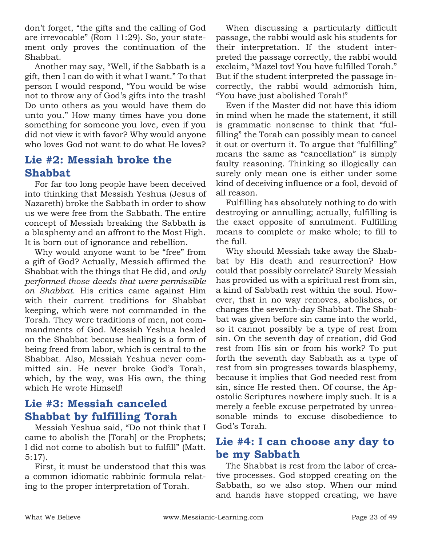don't forget, "the gifts and the calling of God are irrevocable" (Rom 11:29). So, your statement only proves the continuation of the Shabbat.

Another may say, "Well, if the Sabbath is a gift, then I can do with it what I want." To that person I would respond, "You would be wise not to throw any of God's gifts into the trash! Do unto others as you would have them do unto you." How many times have you done something for someone you love, even if you did not view it with favor? Why would anyone who loves God not want to do what He loves?

#### **Lie #2: Messiah broke the Shabbat**

For far too long people have been deceived into thinking that Messiah Yeshua (Jesus of Nazareth) broke the Sabbath in order to show us we were free from the Sabbath. The entire concept of Messiah breaking the Sabbath is a blasphemy and an affront to the Most High. It is born out of ignorance and rebellion.

Why would anyone want to be "free" from a gift of God? Actually, Messiah affirmed the Shabbat with the things that He did, and *only performed those deeds that were permissible on Shabbat*. His critics came against Him with their current traditions for Shabbat keeping, which were not commanded in the Torah. They were traditions of men, not commandments of God. Messiah Yeshua healed on the Shabbat because healing is a form of being freed from labor, which is central to the Shabbat. Also, Messiah Yeshua never committed sin. He never broke God's Torah, which, by the way, was His own, the thing which He wrote Himself!

### **Lie #3: Messiah canceled Shabbat by fulfilling Torah**

Messiah Yeshua said, "Do not think that I came to abolish the [Torah] or the Prophets; I did not come to abolish but to fulfill" (Matt. 5:17).

First, it must be understood that this was a common idiomatic rabbinic formula relating to the proper interpretation of Torah.

When discussing a particularly difficult passage, the rabbi would ask his students for their interpretation. If the student interpreted the passage correctly, the rabbi would exclaim, "Mazel tov! You have fulfilled Torah." But if the student interpreted the passage incorrectly, the rabbi would admonish him, "You have just abolished Torah!"

Even if the Master did not have this idiom in mind when he made the statement, it still is grammatic nonsense to think that "fulfilling" the Torah can possibly mean to cancel it out or overturn it. To argue that "fulfilling" means the same as "cancellation" is simply faulty reasoning. Thinking so illogically can surely only mean one is either under some kind of deceiving influence or a fool, devoid of all reason.

Fulfilling has absolutely nothing to do with destroying or annulling; actually, fulfilling is the exact opposite of annulment. Fulfilling means to complete or make whole; to fill to the full.

Why should Messiah take away the Shabbat by His death and resurrection? How could that possibly correlate? Surely Messiah has provided us with a spiritual rest from sin, a kind of Sabbath rest within the soul. However, that in no way removes, abolishes, or changes the seventh-day Shabbat. The Shabbat was given before sin came into the world, so it cannot possibly be a type of rest from sin. On the seventh day of creation, did God rest from His sin or from his work? To put forth the seventh day Sabbath as a type of rest from sin progresses towards blasphemy, because it implies that God needed rest from sin, since He rested then. Of course, the Apostolic Scriptures nowhere imply such. It is a merely a feeble excuse perpetrated by unreasonable minds to excuse disobedience to God's Torah.

#### **Lie #4: I can choose any day to be my Sabbath**

The Shabbat is rest from the labor of creative processes. God stopped creating on the Sabbath, so we also stop. When our mind and hands have stopped creating, we have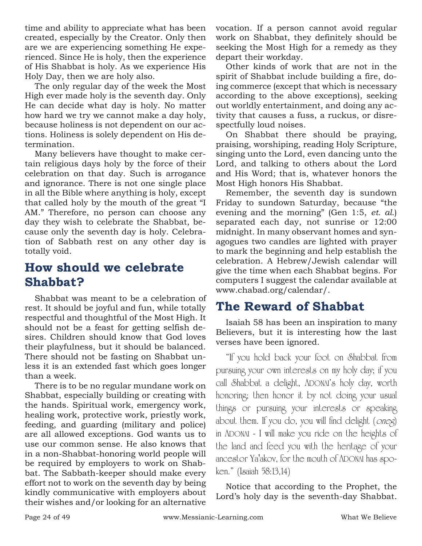time and ability to appreciate what has been created, especially by the Creator. Only then are we are experiencing something He experienced. Since He is holy, then the experience of His Shabbat is holy. As we experience His Holy Day, then we are holy also.

The only regular day of the week the Most High ever made holy is the seventh day. Only He can decide what day is holy. No matter how hard we try we cannot make a day holy, because holiness is not dependent on our actions. Holiness is solely dependent on His determination.

Many believers have thought to make certain religious days holy by the force of their celebration on that day. Such is arrogance and ignorance. There is not one single place in all the Bible where anything is holy, except that called holy by the mouth of the great "I AM." Therefore, no person can choose any day they wish to celebrate the Shabbat, because only the seventh day is holy. Celebration of Sabbath rest on any other day is totally void.

### **How should we celebrate Shabbat?**

Shabbat was meant to be a celebration of rest. It should be joyful and fun, while totally respectful and thoughtful of the Most High. It should not be a feast for getting selfish desires. Children should know that God loves their playfulness, but it should be balanced. There should not be fasting on Shabbat unless it is an extended fast which goes longer than a week.

There is to be no regular mundane work on Shabbat, especially building or creating with the hands. Spiritual work, emergency work, healing work, protective work, priestly work, feeding, and guarding (military and police) are all allowed exceptions. God wants us to use our common sense. He also knows that in a non-Shabbat-honoring world people will be required by employers to work on Shabbat. The Sabbath-keeper should make every effort not to work on the seventh day by being kindly communicative with employers about their wishes and/or looking for an alternative vocation. If a person cannot avoid regular work on Shabbat, they definitely should be seeking the Most High for a remedy as they depart their workday.

Other kinds of work that are not in the spirit of Shabbat include building a fire, doing commerce (except that which is necessary according to the above exceptions), seeking out worldly entertainment, and doing any activity that causes a fuss, a ruckus, or disrespectfully loud noises.

On Shabbat there should be praying, praising, worshiping, reading Holy Scripture, singing unto the Lord, even dancing unto the Lord, and talking to others about the Lord and His Word; that is, whatever honors the Most High honors His Shabbat.

Remember, the seventh day is sundown Friday to sundown Saturday, because "the evening and the morning" (Gen 1:5, *et. al.*) separated each day, not sunrise or 12:00 midnight. In many observant homes and synagogues two candles are lighted with prayer to mark the beginning and help establish the celebration. A Hebrew/Jewish calendar will give the time when each Shabbat begins. For computers I suggest the calendar available at www.chabad.org/calendar/.

### **The Reward of Shabbat**

Isaiah 58 has been an inspiration to many Believers, but it is interesting how the last verses have been ignored.

"If you hold back your foot on Shabbat from pursuing your own interests on my holy day; if you call Shabbat a delight, ADONAI's holy day, worth honoring; then honor it by not doing your usual things or pursuing your interests or speaking about them. If you do, you will find delight (oneg) in ADONAI - I will make you ride on the heights of the land and feed you with the heritage of your ancestor Ya'akov, for the mouth of ADONAI has spoken." (Isaiah 58:13,14)

Notice that according to the Prophet, the Lord's holy day is the seventh-day Shabbat.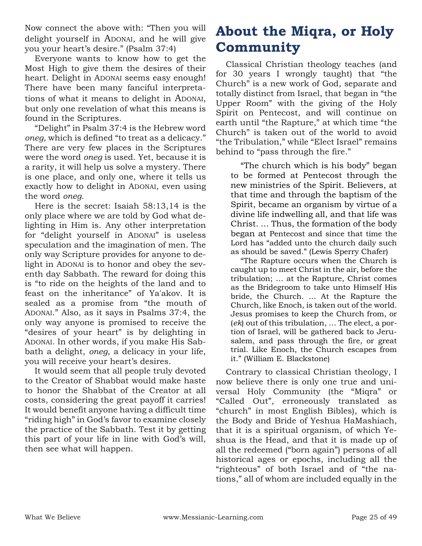Now connect the above with: "Then you will delight yourself in ADONAI, and he will give you your heart's desire." (Psalm 37:4)

Everyone wants to know how to get the Most High to give them the desires of their heart. Delight in ADONAI seems easy enough! There have been many fanciful interpretations of what it means to delight in ADONAI, but only one revelation of what this means is found in the Scriptures.

"Delight" in Psalm 37:4 is the Hebrew word *oneg*, which is defined "to treat as a delicacy." There are very few places in the Scriptures were the word *oneg* is used. Yet, because it is a rarity, it will help us solve a mystery. There is one place, and only one, where it tells us exactly how to delight in ADONAI, even using the word *oneg*.

Here is the secret: Isaiah 58:13,14 is the only place where we are told by God what delighting in Him is. Any other interpretation for "delight yourself in ADONAI" is useless speculation and the imagination of men. The only way Scripture provides for anyone to delight in ADONAI is to honor and obey the seventh day Sabbath. The reward for doing this is "to ride on the heights of the land and to feast on the inheritance" of Ya'akov. It is sealed as a promise from "the mouth of ADONAI." Also, as it says in Psalms 37:4, the only way anyone is promised to receive the "desires of your heart" is by delighting in ADONAI. In other words, if you make His Sabbath a delight, *oneg*, a delicacy in your life, you will receive your heart's desires.

It would seem that all people truly devoted to the Creator of Shabbat would make haste to honor the Shabbat of the Creator at all costs, considering the great payoff it carries! It would benefit anyone having a difficult time "riding high" in God's favor to examine closely the practice of the Sabbath. Test it by getting this part of your life in line with God's will, then see what will happen.

## **About the Miqra, or Holy Community**

Classical Christian theology teaches (and for 30 years I wrongly taught) that "the Church" is a new work of God, separate and totally distinct from Israel, that began in "the Upper Room" with the giving of the Holy Spirit on Pentecost, and will continue on earth until "the Rapture," at which time "the Church" is taken out of the world to avoid "the Tribulation," while "Elect Israel" remains behind to "pass through the fire."

"The church which is his body" began to be formed at Pentecost through the new ministries of the Spirit. Believers, at that time and through the baptism of the Spirit, became an organism by virtue of a divine life indwelling all, and that life was Christ. … Thus, the formation of the body began at Pentecost and since that time the Lord has "added unto the church daily such as should be saved." (Lewis Sperry Chafer)

"The Rapture occurs when the Church is caught up to meet Christ in the air, before the tribulation; … at the Rapture, Christ comes as the Bridegroom to take unto Himself His bride, the Church. … At the Rapture the Church, like Enoch, is taken out of the world. Jesus promises to keep the Church from, or (*ek*) out of this tribulation, … The elect, a portion of Israel, will be gathered back to Jerusalem, and pass through the fire, or great trial. Like Enoch, the Church escapes from it." (William E. Blackstone)

Contrary to classical Christian theology, I now believe there is only one true and universal Holy Community (the "Miqra" or "Called Out", erroneously translated as "church" in most English Bibles), which is the Body and Bride of Yeshua HaMashiach, that it is a spiritual organism, of which Yeshua is the Head, and that it is made up of all the redeemed ("born again") persons of all historical ages or epochs, including all the "righteous" of both Israel and of "the nations," all of whom are included equally in the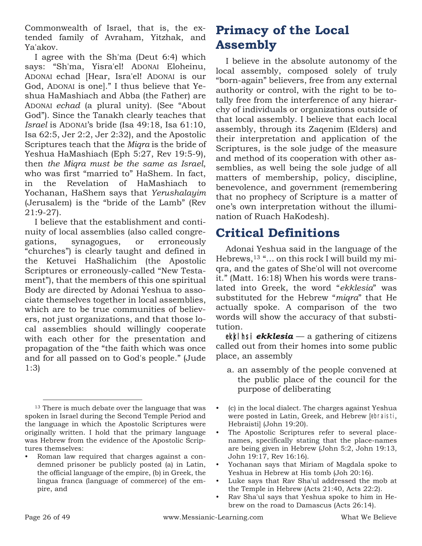Commonwealth of Israel, that is, the extended family of Avraham, Yitzhak, and Ya'akov.

I agree with the Sh'ma (Deut 6:4) which says: "Sh'ma, Yisra'el! ADONAI Eloheinu, ADONAI echad [Hear, Isra'el! ADONAI is our God, ADONAI is one]." I thus believe that Yeshua HaMashiach and Abba (the Father) are ADONAI *echad* (a plural unity). (See "About God"). Since the Tanakh clearly teaches that *Israel* is ADONAI's bride (Isa 49:18, Isa 61:10, Isa 62:5, Jer 2:2, Jer 2:32), and the Apostolic Scriptures teach that the *Miqra* is the bride of Yeshua HaMashiach (Eph 5:27, Rev 19:5-9), then *the Miqra must be the same as Israel*, who was first "married to" HaShem. In fact, in the Revelation of HaMashiach to Yochanan, HaShem says that *Yerushalayim* (Jerusalem) is the "bride of the Lamb" (Rev 21:9-27).

I believe that the establishment and continuity of local assemblies (also called congregations, synagogues, or erroneously "churches") is clearly taught and defined in the Ketuvei HaShalichim (the Apostolic Scriptures or erroneously-called "New Testament"), that the members of this one spiritual Body are directed by Adonai Yeshua to associate themselves together in local assemblies, which are to be true communities of believers, not just organizations, and that those local assemblies should willingly cooperate with each other for the presentation and propagation of the "the faith which was once and for all passed on to God's people." (Jude 1:3)

## **Primacy of the Local Assembly**

I believe in the absolute autonomy of the local assembly, composed solely of truly "born-again" believers, free from any external authority or control, with the right to be totally free from the interference of any hierarchy of individuals or organizations outside of that local assembly. I believe that each local assembly, through its Zaqenim (Elders) and their interpretation and application of the Scriptures, is the sole judge of the measure and method of its cooperation with other assemblies, as well being the sole judge of all matters of membership, policy, discipline, benevolence, and government (remembering that no prophecy of Scripture is a matter of one's own interpretation without the illumination of Ruach HaKodesh).

### **Critical Definitions**

Adonai Yeshua said in the language of the Hebrews,<sup>13</sup> "… on this rock I will build my miqra, and the gates of She'ol will not overcome it." (Matt. 16:18) When his words were translated into Greek, the word "*ekklesia*" was substituted for the Hebrew "*miqra*" that He actually spoke. A comparison of the two words will show the accuracy of that substitution.

ekkl hsi **ekklesia** — a gathering of citizens called out from their homes into some public place, an assembly

- a. an assembly of the people convened at the public place of the council for the purpose of deliberating
- (c) in the local dialect. The charges against Yeshua were posted in Latin, Greek, and Hebrew [ebraisti, Hebraisti] (John 19:20).
- The Apostolic Scriptures refer to several placenames, specifically stating that the place-names are being given in Hebrew (John 5:2, John 19:13, John 19:17, Rev 16:16).
- Yochanan says that Miriam of Magdala spoke to Yeshua in Hebrew at His tomb (Joh 20:16).
- Luke says that Rav Sha'ul addressed the mob at the Temple in Hebrew (Acts 21:40, Acts 22:2).
- Rav Sha'ul says that Yeshua spoke to him in Hebrew on the road to Damascus (Acts 26:14).

<sup>&</sup>lt;sup>13</sup> There is much debate over the language that was spoken in Israel during the Second Temple Period and the language in which the Apostolic Scriptures were originally written. I hold that the primary language was Hebrew from the evidence of the Apostolic Scriptures themselves:

<sup>•</sup> Roman law required that charges against a condemned prisoner be publicly posted (a) in Latin, the official language of the empire, (b) in Greek, the lingua franca (language of commerce) of the empire, and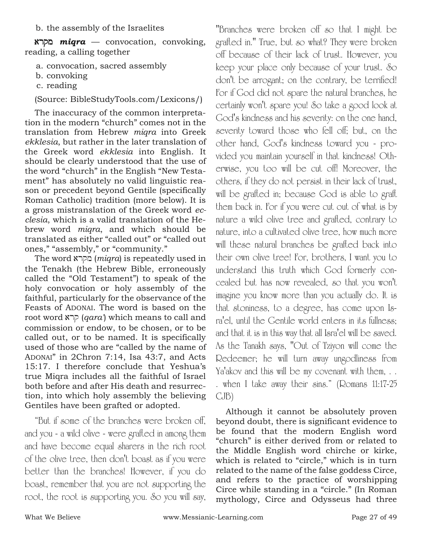b. the assembly of the Israelites

arqm *miqra* — convocation, convoking, reading, a calling together

a. convocation, sacred assembly

- b. convoking
- c. reading

(Source: BibleStudyTools.com/Lexicons/)

The inaccuracy of the common interpretation in the modern "church" comes not in the translation from Hebrew *miqra* into Greek *ekklesia*, but rather in the later translation of the Greek word *ekklesia* into English. It should be clearly understood that the use of the word "church" in the English "New Testament" has absolutely no valid linguistic reason or precedent beyond Gentile (specifically Roman Catholic) tradition (more below). It is a gross mistranslation of the Greek word *ecclesia*, which is a valid translation of the Hebrew word *miqra*, and which should be translated as either "called out" or "called out ones," "assembly," or "community."

The word arqm (*miqra*) is repeatedly used in the Tenakh (the Hebrew Bible, erroneously called the "Old Testament") to speak of the holy convocation or holy assembly of the faithful, particularly for the observance of the Feasts of ADONAI. The word is based on the root word arq (*qara'*) which means to call and commission or endow, to be chosen, or to be called out, or to be named. It is specifically used of those who are "called by the name of ADONAI" in 2Chron 7:14, Isa 43:7, and Acts 15:17. I therefore conclude that Yeshua's true Miqra includes all the faithful of Israel both before and after His death and resurrection, into which holy assembly the believing Gentiles have been grafted or adopted.

"But if some of the branches were broken off, and you - a wild olive - were grafted in among them and have become equal sharers in the rich root of the olive tree, then don't boast as if you were better than the branches! However, if you do boast, remember that you are not supporting the root, the root is supporting you. So you will say,

"Branches were broken off so that I might be grafted in." True, but so what? They were broken off because of their lack of trust. However, you keep your place only because of your trust. So don't be arrogant; on the contrary, be terrified! For if God did not spare the natural branches, he certainly won't spare you! So take a good look at God's kindness and his severity: on the one hand, severity toward those who fell off; but, on the other hand, God's kindness toward you - provided you maintain yourself in that kindness! Otherwise, you too will be cut off! Moreover, the others, if they do not persist in their lack of trust, will be grafted in; because God is able to graft them back in. For if you were cut out of what is by nature a wild olive tree and grafted, contrary to nature, into a cultivated olive tree, how much more will these natural branches be grafted back into their own olive tree! For, brothers, I want you to understand this truth which God formerly concealed but has now revealed, so that you won't imagine you know more than you actually do. It is that stoniness, to a degree, has come upon Isra'el, until the Gentile world enters in its fullness; and that it is in this way that all Isra'el will be saved. As the Tanakh says, "Out of Tziyon will come the Redeemer; he will turn away ungodliness from Ya'akov and this will be my covenant with them, . . . when I take away their sins." (Romans 11:17-25 CJB)

Although it cannot be absolutely proven beyond doubt, there is significant evidence to be found that the modern English word "church" is either derived from or related to the Middle English word chirche or kirke, which is related to "circle," which is in turn related to the name of the false goddess Circe, and refers to the practice of worshipping Circe while standing in a "circle." (In Roman mythology, Circe and Odysseus had three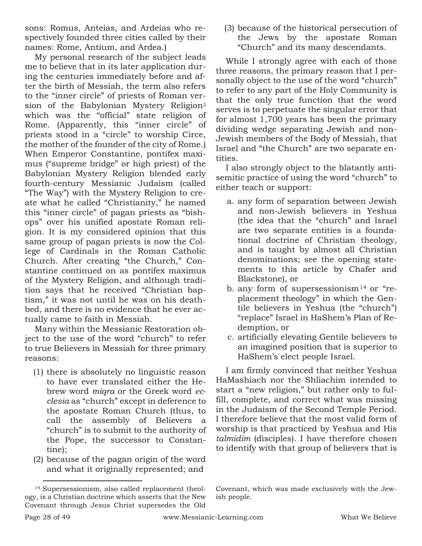sons: Romus, Anteias, and Ardeias who respectively founded three cities called by their names: Rome, Antium, and Ardea.)

My personal research of the subject leads me to believe that in its later application during the centuries immediately before and after the birth of Messiah, the term also refers to the "inner circle" of priests of Roman version of the Babylonian Mystery Religion<sup>2</sup> which was the "official" state religion of Rome. (Apparently, this "inner circle" of priests stood in a "circle" to worship Circe, the mother of the founder of the city of Rome.) When Emperor Constantine, pontifex maximus ("supreme bridge" or high priest) of the Babylonian Mystery Religion blended early fourth-century Messianic Judaism (called "The Way") with the Mystery Religion to create what he called "Christianity," he named this "inner circle" of pagan priests as "bishops" over his unified apostate Roman religion. It is my considered opinion that this same group of pagan priests is now the College of Cardinals in the Roman Catholic Church. After creating "the Church," Constantine continued on as pontifex maximus of the Mystery Religion, and although tradition says that he received "Christian baptism," it was not until he was on his deathbed, and there is no evidence that he ever actually came to faith in Messiah.

Many within the Messianic Restoration object to the use of the word "church" to refer to true Believers in Messiah for three primary reasons:

- (1) there is absolutely no linguistic reason to have ever translated either the Hebrew word *miqra* or the Greek word *ecclesia* as "church" except in deference to the apostate Roman Church (thus, to call the assembly of Believers a "church" is to submit to the authority of the Pope, the successor to Constantine);
- (2) because of the pagan origin of the word and what it originally represented; and

(3) because of the historical persecution of the Jews by the apostate Roman "Church" and its many descendants.

While I strongly agree with each of those three reasons, the primary reason that I personally object to the use of the word "church" to refer to any part of the Holy Community is that the only true function that the word serves is to perpetuate the singular error that for almost 1,700 years has been the primary dividing wedge separating Jewish and non-Jewish members of the Body of Messiah, that Israel and "the Church" are two separate entities.

I also strongly object to the blatantly antisemitic practice of using the word "church" to either teach or support:

- a. any form of separation between Jewish and non-Jewish believers in Yeshua (the idea that the "church" and Israel are two separate entities is a foundational doctrine of Christian theology, and is taught by almost all Christian denominations; see the opening statements to this article by Chafer and Blackstone), or
- b. any form of supersessionism<sup>14</sup> or "replacement theology" in which the Gentile believers in Yeshua (the "church") "replace" Israel in HaShem's Plan of Redemption, or
- c. artificially elevating Gentile believers to an imagined position that is superior to HaShem's elect people Israel.

I am firmly convinced that neither Yeshua HaMashiach nor the Shliachim intended to start a "new religion," but rather only to fulfill, complete, and correct what was missing in the Judaism of the Second Temple Period. I therefore believe that the most valid form of worship is that practiced by Yeshua and His *talmidim* (disciples). I have therefore chosen to identify with that group of believers that is

<sup>14</sup> Supersessionism, also called replacement theology, is a Christian doctrine which asserts that the New Covenant through Jesus Christ supersedes the Old

Covenant, which was made exclusively with the Jewish people.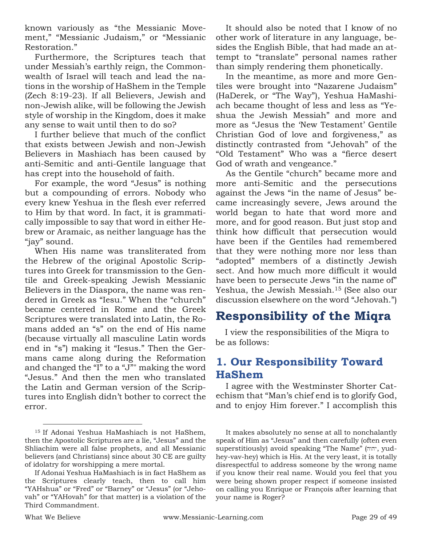known variously as "the Messianic Movement," "Messianic Judaism," or "Messianic Restoration."

Furthermore, the Scriptures teach that under Messiah's earthly reign, the Commonwealth of Israel will teach and lead the nations in the worship of HaShem in the Temple (Zech 8:19-23). If all Believers, Jewish and non-Jewish alike, will be following the Jewish style of worship in the Kingdom, does it make any sense to wait until then to do so?

I further believe that much of the conflict that exists between Jewish and non-Jewish Believers in Mashiach has been caused by anti-Semitic and anti-Gentile language that has crept into the household of faith.

For example, the word "Jesus" is nothing but a compounding of errors. Nobody who every knew Yeshua in the flesh ever referred to Him by that word. In fact, it is grammatically impossible to say that word in either Hebrew or Aramaic, as neither language has the "jay" sound.

When His name was transliterated from the Hebrew of the original Apostolic Scriptures into Greek for transmission to the Gentile and Greek-speaking Jewish Messianic Believers in the Diaspora, the name was rendered in Greek as "Iesu." When the "church" became centered in Rome and the Greek Scriptures were translated into Latin, the Romans added an "s" on the end of His name (because virtually all masculine Latin words end in "s") making it "Iesus." Then the Germans came along during the Reformation and changed the "I" to a "J"" making the word "Jesus." And then the men who translated the Latin and German version of the Scriptures into English didn't bother to correct the error.

It should also be noted that I know of no other work of literature in any language, besides the English Bible, that had made an attempt to "translate" personal names rather than simply rendering them phonetically.

In the meantime, as more and more Gentiles were brought into "Nazarene Judaism" (HaDerek, or "The Way"), Yeshua HaMashiach became thought of less and less as "Yeshua the Jewish Messiah" and more and more as "Jesus the 'New Testament' Gentile Christian God of love and forgiveness," as distinctly contrasted from "Jehovah" of the "Old Testament" Who was a "fierce desert God of wrath and vengeance."

As the Gentile "church" became more and more anti-Semitic and the persecutions against the Jews "in the name of Jesus" became increasingly severe, Jews around the world began to hate that word more and more, and for good reason. But just stop and think how difficult that persecution would have been if the Gentiles had remembered that they were nothing more nor less than "adopted" members of a distinctly Jewish sect. And how much more difficult it would have been to persecute Jews "in the name of" Yeshua, the Jewish Messiah.<sup>15</sup> (See also our discussion elsewhere on the word "Jehovah.")

## **Responsibility of the Miqra**

I view the responsibilities of the Miqra to be as follows:

#### **1. Our Responsibility Toward HaShem**

I agree with the Westminster Shorter Catechism that "Man's chief end is to glorify God, and to enjoy Him forever." I accomplish this

<sup>15</sup> If Adonai Yeshua HaMashiach is not HaShem, then the Apostolic Scriptures are a lie, "Jesus" and the Shliachim were all false prophets, and all Messianic believers (and Christians) since about 30 CE are guilty of idolatry for worshipping a mere mortal.

If Adonai Yeshua HaMashiach is in fact HaShem as the Scriptures clearly teach, then to call him "YAHshua" or "Fred" or "Barney" or "Jesus" (or "Jehovah" or "YAHovah" for that matter) is a violation of the Third Commandment.

It makes absolutely no sense at all to nonchalantly speak of Him as "Jesus" and then carefully (often even superstitiously) avoid speaking "The Name" (יהוה, yudhey-vav-hey) which is His. At the very least, it is totally disrespectful to address someone by the wrong name if you know their real name. Would you feel that you were being shown proper respect if someone insisted on calling you Enrique or François after learning that your name is Roger?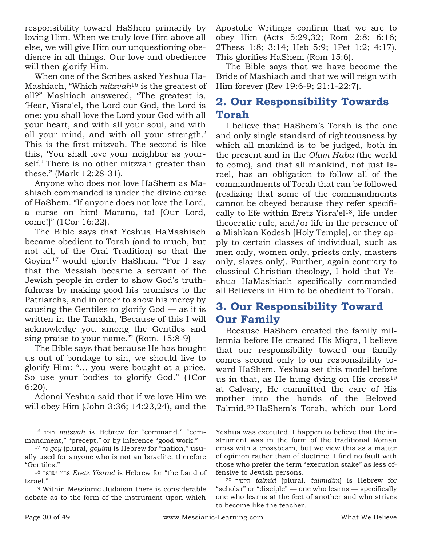responsibility toward HaShem primarily by loving Him. When we truly love Him above all else, we will give Him our unquestioning obedience in all things. Our love and obedience will then glorify Him.

When one of the Scribes asked Yeshua Ha-Mashiach, "Which *mitzvah*<sup>16</sup> is the greatest of all?" Mashiach answered, "The greatest is, 'Hear, Yisra'el, the Lord our God, the Lord is one: you shall love the Lord your God with all your heart, and with all your soul, and with all your mind, and with all your strength.' This is the first mitzvah. The second is like this, 'You shall love your neighbor as yourself.' There is no other mitzvah greater than these." (Mark 12:28-31).

Anyone who does not love HaShem as Mashiach commanded is under the divine curse of HaShem. "If anyone does not love the Lord, a curse on him! Marana, ta! [Our Lord, come!]" (1Cor 16:22).

The Bible says that Yeshua HaMashiach became obedient to Torah (and to much, but not all, of the Oral Tradition) so that the Goyim<sup>17</sup> would glorify HaShem. "For I say that the Messiah became a servant of the Jewish people in order to show God's truthfulness by making good his promises to the Patriarchs, and in order to show his mercy by causing the Gentiles to glorify God — as it is written in the Tanakh, 'Because of this I will acknowledge you among the Gentiles and sing praise to your name.'" (Rom. 15:8-9)

The Bible says that because He has bought us out of bondage to sin, we should live to glorify Him: "… you were bought at a price. So use your bodies to glorify God." (1Cor 6:20).

Adonai Yeshua said that if we love Him we will obey Him (John 3:36; 14:23,24), and the Apostolic Writings confirm that we are to obey Him (Acts 5:29,32; Rom 2:8; 6:16; 2Thess 1:8; 3:14; Heb 5:9; 1Pet 1:2; 4:17). This glorifies HaShem (Rom 15:6).

The Bible says that we have become the Bride of Mashiach and that we will reign with Him forever (Rev 19:6-9; 21:1-22:7).

#### **2. Our Responsibility Towards Torah**

I believe that HaShem's Torah is the one and only single standard of righteousness by which all mankind is to be judged, both in the present and in the *Olam Haba* (the world to come), and that all mankind, not just Israel, has an obligation to follow all of the commandments of Torah that can be followed (realizing that some of the commandments cannot be obeyed because they refer specifically to life within Eretz Yisra'el18, life under theocratic rule, and/or life in the presence of a Mishkan Kodesh [Holy Temple], or they apply to certain classes of individual, such as men only, women only, priests only, masters only, slaves only). Further, again contrary to classical Christian theology, I hold that Yeshua HaMashiach specifically commanded all Believers in Him to be obedient to Torah.

### **3. Our Responsibility Toward Our Family**

Because HaShem created the family millennia before He created His Miqra, I believe that our responsibility toward our family comes second only to our responsibility toward HaShem. Yeshua set this model before us in that, as He hung dying on His  $\text{cross}^{19}$ at Calvary, He committed the care of His mother into the hands of the Beloved Talmid.<sup>20</sup> HaShem's Torah, which our Lord

Yeshua was executed. I happen to believe that the instrument was in the form of the traditional Roman cross with a crossbeam, but we view this as a matter of opinion rather than of doctrine. I find no fault with those who prefer the term "execution stake" as less offensive to Jewish persons.

<sup>16</sup> hwcm *mitzvah* is Hebrew for "command," "commandment," "precept," or by inference "good work."

<sup>17</sup> ywg *goy* (plural, *goyim*) is Hebrew for "nation," usually used for anyone who is not an Israelite, therefore "Gentiles."

<sup>&</sup>lt;sup>18</sup> Aretz Yisrael is Hebrew for "the Land of Israel."

<sup>19</sup> Within Messianic Judaism there is considerable debate as to the form of the instrument upon which

<sup>20</sup> dymlt *talmid* (plural, *talmidim*) is Hebrew for "scholar" or "disciple" — one who learns — specifically one who learns at the feet of another and who strives to become like the teacher.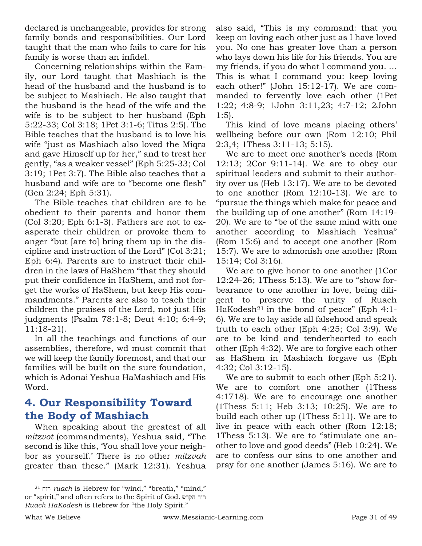declared is unchangeable, provides for strong family bonds and responsibilities. Our Lord taught that the man who fails to care for his family is worse than an infidel.

Concerning relationships within the Family, our Lord taught that Mashiach is the head of the husband and the husband is to be subject to Mashiach. He also taught that the husband is the head of the wife and the wife is to be subject to her husband (Eph 5:22-33; Col 3:18; 1Pet 3:1-6; Titus 2:5). The Bible teaches that the husband is to love his wife "just as Mashiach also loved the Miqra and gave Himself up for her," and to treat her gently, "as a weaker vessel" (Eph 5:25-33; Col 3:19; 1Pet 3:7). The Bible also teaches that a husband and wife are to "become one flesh" (Gen 2:24; Eph 5:31).

The Bible teaches that children are to be obedient to their parents and honor them (Col 3:20; Eph 6:1-3). Fathers are not to exasperate their children or provoke them to anger "but [are to] bring them up in the discipline and instruction of the Lord" (Col 3:21; Eph 6:4). Parents are to instruct their children in the laws of HaShem "that they should put their confidence in HaShem, and not forget the works of HaShem, but keep His commandments." Parents are also to teach their children the praises of the Lord, not just His judgments (Psalm 78:1-8; Deut 4:10; 6:4-9; 11:18-21).

In all the teachings and functions of our assemblies, therefore, wd must commit that we will keep the family foremost, and that our families will be built on the sure foundation, which is Adonai Yeshua HaMashiach and His Word.

### **4. Our Responsibility Toward the Body of Mashiach**

When speaking about the greatest of all *mitzvot* (commandments), Yeshua said, "The second is like this, 'You shall love your neighbor as yourself.' There is no other *mitzvah* greater than these." (Mark 12:31). Yeshua

also said, "This is my command: that you keep on loving each other just as I have loved you. No one has greater love than a person who lays down his life for his friends. You are my friends, if you do what I command you. … This is what I command you: keep loving each other!" (John 15:12-17). We are commanded to fervently love each other (1Pet 1:22; 4:8-9; 1John 3:11,23; 4:7-12; 2John 1:5).

This kind of love means placing others' wellbeing before our own (Rom 12:10; Phil 2:3,4; 1Thess 3:11-13; 5:15).

We are to meet one another's needs (Rom 12:13; 2Cor 9:11-14). We are to obey our spiritual leaders and submit to their authority over us (Heb 13:17). We are to be devoted to one another (Rom 12:10-13). We are to "pursue the things which make for peace and the building up of one another" (Rom 14:19- 20). We are to "be of the same mind with one another according to Mashiach Yeshua" (Rom 15:6) and to accept one another (Rom 15:7). We are to admonish one another (Rom 15:14; Col 3:16).

We are to give honor to one another (1Cor 12:24-26; 1Thess 5:13). We are to "show forbearance to one another in love, being diligent to preserve the unity of Ruach HaKodesh<sup>21</sup> in the bond of peace" (Eph  $4:1$ -6). We are to lay aside all falsehood and speak truth to each other (Eph 4:25; Col 3:9). We are to be kind and tenderhearted to each other (Eph 4:32). We are to forgive each other as HaShem in Mashiach forgave us (Eph 4:32; Col 3:12-15).

We are to submit to each other (Eph 5:21). We are to comfort one another (1Thess 4:1718). We are to encourage one another (1Thess 5:11; Heb 3:13; 10:25). We are to build each other up (1Thess 5:11). We are to live in peace with each other (Rom 12:18; 1Thess 5:13). We are to "stimulate one another to love and good deeds" (Heb 10:24). We are to confess our sins to one another and pray for one another (James 5:16). We are to

<sup>&</sup>lt;sup>21</sup> ruach is Hebrew for "wind," "breath," "mind," or "spirit," and often refers to the Spirit of God. רוח הקדש *Ruach HaKodesh* is Hebrew for "the Holy Spirit."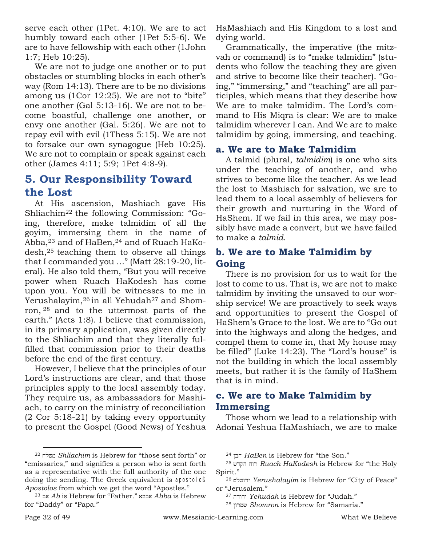serve each other (1Pet. 4:10). We are to act humbly toward each other (1Pet 5:5-6). We are to have fellowship with each other (1John 1:7; Heb 10:25).

We are not to judge one another or to put obstacles or stumbling blocks in each other's way (Rom 14:13). There are to be no divisions among us (1Cor 12:25). We are not to "bite" one another (Gal 5:13-16). We are not to become boastful, challenge one another, or envy one another (Gal. 5:26). We are not to repay evil with evil (1Thess 5:15). We are not to forsake our own synagogue (Heb 10:25). We are not to complain or speak against each other (James 4:11; 5:9; 1Pet 4:8-9).

#### **5. Our Responsibility Toward the Lost**

At His ascension, Mashiach gave His Shliachim<sup>22</sup> the following Commission: "Going, therefore, make talmidim of all the goyim, immersing them in the name of Abba, $23$  and of HaBen, $24$  and of Ruach HaKodesh,<sup>25</sup> teaching them to observe all things that I commanded you …" (Matt 28:19-20, literal). He also told them, "But you will receive power when Ruach HaKodesh has come upon you. You will be witnesses to me in Yerushalayim,<sup>26</sup> in all Yehudah<sup>27</sup> and Shomron, <sup>28</sup> and to the uttermost parts of the earth." (Acts 1:8). I believe that commission, in its primary application, was given directly to the Shliachim and that they literally fulfilled that commission prior to their deaths before the end of the first century.

However, I believe that the principles of our Lord's instructions are clear, and that those principles apply to the local assembly today. They require us, as ambassadors for Mashiach, to carry on the ministry of reconciliation (2 Cor 5:18-21) by taking every opportunity to present the Gospel (Good News) of Yeshua HaMashiach and His Kingdom to a lost and dying world.

Grammatically, the imperative (the mitzvah or command) is to "make talmidim" (students who follow the teaching they are given and strive to become like their teacher). "Going," "immersing," and "teaching" are all participles, which means that they describe how We are to make talmidim. The Lord's command to His Miqra is clear: We are to make talmidim wherever I can. And We are to make talmidim by going, immersing, and teaching.

#### **a. We are to Make Talmidim**

A talmid (plural, *talmidim*) is one who sits under the teaching of another, and who strives to become like the teacher. As we lead the lost to Mashiach for salvation, we are to lead them to a local assembly of believers for their growth and nurturing in the Word of HaShem. If we fail in this area, we may possibly have made a convert, but we have failed to make a *talmid*.

#### **b. We are to Make Talmidim by Going**

There is no provision for us to wait for the lost to come to us. That is, we are not to make talmidim by inviting the unsaved to our worship service! We are proactively to seek ways and opportunities to present the Gospel of HaShem's Grace to the lost. We are to "Go out into the highways and along the hedges, and compel them to come in, that My house may be filled" (Luke 14:23). The "Lord's house" is not the building in which the local assembly meets, but rather it is the family of HaShem that is in mind.

#### **c. We are to Make Talmidim by Immersing**

Those whom we lead to a relationship with Adonai Yeshua HaMashiach, we are to make

<sup>&</sup>lt;sup>22</sup> *Shliachim* is Hebrew for "those sent forth" or "emissaries," and signifies a person who is sent forth as a representative with the full authority of the one doing the sending. The Greek equivalent is apostoloß *Apostolos* from which we get the word "Apostles."

<sup>23</sup> ba *Ab* is Hebrew for "Father." abba *Abba* is Hebrew for "Daddy" or "Papa."

<sup>&</sup>lt;sup>24</sup>  $HaBen$  is Hebrew for "the Son."

<sup>&</sup>lt;sup>25</sup> רוח הקדש *Ruach HaKodesh* is Hebrew for "the Holy Spirit."

<sup>&</sup>lt;sup>26</sup> ירושלם *Yerushalayim* is Hebrew for "City of Peace" or "Jerusalem."

<sup>27</sup> hdwhy *Yehudah* is Hebrew for "Judah."

<sup>&</sup>lt;sup>28</sup> שמרון Shomron is Hebrew for "Samaria."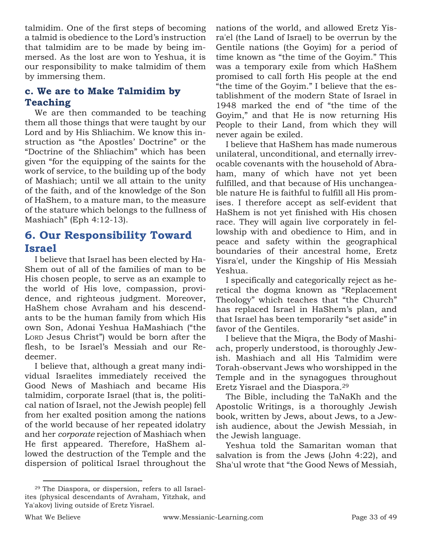talmidim. One of the first steps of becoming a talmid is obedience to the Lord's instruction that talmidim are to be made by being immersed. As the lost are won to Yeshua, it is our responsibility to make talmidim of them by immersing them.

#### **c. We are to Make Talmidim by Teaching**

We are then commanded to be teaching them all those things that were taught by our Lord and by His Shliachim. We know this instruction as "the Apostles' Doctrine" or the "Doctrine of the Shliachim" which has been given "for the equipping of the saints for the work of service, to the building up of the body of Mashiach; until we all attain to the unity of the faith, and of the knowledge of the Son of HaShem, to a mature man, to the measure of the stature which belongs to the fullness of Mashiach" (Eph 4:12-13).

#### **6. Our Responsibility Toward Israel**

I believe that Israel has been elected by Ha-Shem out of all of the families of man to be His chosen people, to serve as an example to the world of His love, compassion, providence, and righteous judgment. Moreover, HaShem chose Avraham and his descendants to be the human family from which His own Son, Adonai Yeshua HaMashiach ("the LORD Jesus Christ") would be born after the flesh, to be Israel's Messiah and our Redeemer.

I believe that, although a great many individual Israelites immediately received the Good News of Mashiach and became His talmidim, corporate Israel (that is, the political nation of Israel, not the Jewish people) fell from her exalted position among the nations of the world because of her repeated idolatry and her *corporate* rejection of Mashiach when He first appeared. Therefore, HaShem allowed the destruction of the Temple and the dispersion of political Israel throughout the nations of the world, and allowed Eretz Yisra'el (the Land of Israel) to be overrun by the Gentile nations (the Goyim) for a period of time known as "the time of the Goyim." This was a temporary exile from which HaShem promised to call forth His people at the end "the time of the Goyim." I believe that the establishment of the modern State of Israel in 1948 marked the end of "the time of the Goyim," and that He is now returning His People to their Land, from which they will never again be exiled.

I believe that HaShem has made numerous unilateral, unconditional, and eternally irrevocable covenants with the household of Abraham, many of which have not yet been fulfilled, and that because of His unchangeable nature He is faithful to fulfill all His promises. I therefore accept as self-evident that HaShem is not yet finished with His chosen race. They will again live corporately in fellowship with and obedience to Him, and in peace and safety within the geographical boundaries of their ancestral home, Eretz Yisra'el, under the Kingship of His Messiah Yeshua.

I specifically and categorically reject as heretical the dogma known as "Replacement Theology" which teaches that "the Church" has replaced Israel in HaShem's plan, and that Israel has been temporarily "set aside" in favor of the Gentiles.

I believe that the Miqra, the Body of Mashiach, properly understood, is thoroughly Jewish. Mashiach and all His Talmidim were Torah-observant Jews who worshipped in the Temple and in the synagogues throughout Eretz Yisrael and the Diaspora.<sup>29</sup>

The Bible, including the TaNaKh and the Apostolic Writings, is a thoroughly Jewish book, written by Jews, about Jews, to a Jewish audience, about the Jewish Messiah, in the Jewish language.

Yeshua told the Samaritan woman that salvation is from the Jews (John 4:22), and Sha'ul wrote that "the Good News of Messiah,

<sup>29</sup> The Diaspora, or dispersion, refers to all Israelites (physical descendants of Avraham, Yitzhak, and Ya'akov) living outside of Eretz Yisrael.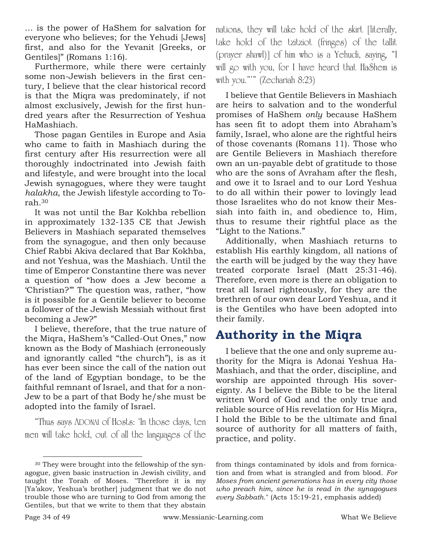… is the power of HaShem for salvation for everyone who believes; for the Yehudi [Jews] first, and also for the Yevanit [Greeks, or Gentiles]" (Romans 1:16).

Furthermore, while there were certainly some non-Jewish believers in the first century, I believe that the clear historical record is that the Miqra was predominately, if not almost exclusively, Jewish for the first hundred years after the Resurrection of Yeshua HaMashiach.

Those pagan Gentiles in Europe and Asia who came to faith in Mashiach during the first century after His resurrection were all thoroughly indoctrinated into Jewish faith and lifestyle, and were brought into the local Jewish synagogues, where they were taught *halakha*, the Jewish lifestyle according to Torah.<sup>30</sup>

It was not until the Bar Kokhba rebellion in approximately 132-135 CE that Jewish Believers in Mashiach separated themselves from the synagogue, and then only because Chief Rabbi Akiva declared that Bar Kokhba, and not Yeshua, was the Mashiach. Until the time of Emperor Constantine there was never a question of "how does a Jew become a 'Christian?'" The question was, rather, "how is it possible for a Gentile believer to become a follower of the Jewish Messiah without first becoming a Jew?"

I believe, therefore, that the true nature of the Miqra, HaShem's "Called-Out Ones," now known as the Body of Mashiach (erroneously and ignorantly called "the church"), is as it has ever been since the call of the nation out of the land of Egyptian bondage, to be the faithful remnant of Israel, and that for a non-Jew to be a part of that Body he/she must be adopted into the family of Israel.

"Thus says ADONAI of Hosts: 'In those days, ten men will take hold, out of all the languages of the nations, they will take hold of the skirt [literally, take hold of the tzitziot (fringes) of the tallit (prayer shawl)] of him who is a Yehudi, saying, "I will go with you, for I have heard that HaShem is with you."'" (Zechariah 8:23)

I believe that Gentile Believers in Mashiach are heirs to salvation and to the wonderful promises of HaShem *only* because HaShem has seen fit to adopt them into Abraham's family, Israel, who alone are the rightful heirs of those covenants (Romans 11). Those who are Gentile Believers in Mashiach therefore own an un-payable debt of gratitude to those who are the sons of Avraham after the flesh, and owe it to Israel and to our Lord Yeshua to do all within their power to lovingly lead those Israelites who do not know their Messiah into faith in, and obedience to, Him, thus to resume their rightful place as the "Light to the Nations."

Additionally, when Mashiach returns to establish His earthly kingdom, all nations of the earth will be judged by the way they have treated corporate Israel (Matt 25:31-46). Therefore, even more is there an obligation to treat all Israel righteously, for they are the brethren of our own dear Lord Yeshua, and it is the Gentiles who have been adopted into their family.

### **Authority in the Miqra**

I believe that the one and only supreme authority for the Miqra is Adonai Yeshua Ha-Mashiach, and that the order, discipline, and worship are appointed through His sovereignty. As I believe the Bible to be the literal written Word of God and the only true and reliable source of His revelation for His Miqra, I hold the Bible to be the ultimate and final source of authority for all matters of faith, practice, and polity.

from things contaminated by idols and from fornication and from what is strangled and from blood. *For Moses from ancient generations has in every city those who preach him, since he is read in the synagogues every Sabbath.*" (Acts 15:19-21, emphasis added)

<sup>30</sup> They were brought into the fellowship of the synagogue, given basic instruction in Jewish civility, and taught the Torah of Moses. "Therefore it is my [Ya'akov, Yeshua's brother] judgment that we do not trouble those who are turning to God from among the Gentiles, but that we write to them that they abstain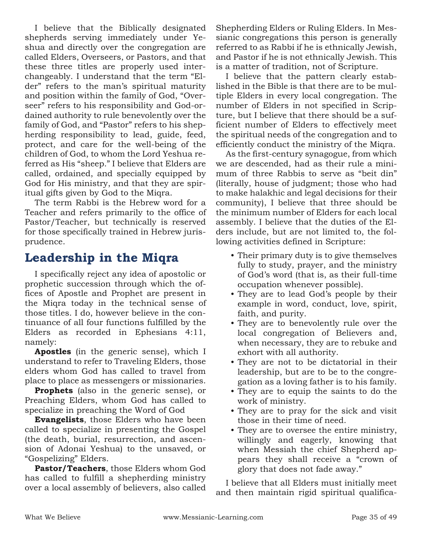I believe that the Biblically designated shepherds serving immediately under Yeshua and directly over the congregation are called Elders, Overseers, or Pastors, and that these three titles are properly used interchangeably. I understand that the term "Elder" refers to the man's spiritual maturity and position within the family of God, "Overseer" refers to his responsibility and God-ordained authority to rule benevolently over the family of God, and "Pastor" refers to his shepherding responsibility to lead, guide, feed, protect, and care for the well-being of the children of God, to whom the Lord Yeshua referred as His "sheep." I believe that Elders are called, ordained, and specially equipped by God for His ministry, and that they are spiritual gifts given by God to the Miqra.

The term Rabbi is the Hebrew word for a Teacher and refers primarily to the office of Pastor/Teacher, but technically is reserved for those specifically trained in Hebrew jurisprudence.

### **Leadership in the Miqra**

I specifically reject any idea of apostolic or prophetic succession through which the offices of Apostle and Prophet are present in the Miqra today in the technical sense of those titles. I do, however believe in the continuance of all four functions fulfilled by the Elders as recorded in Ephesians 4:11, namely:

**Apostles** (in the generic sense), which I understand to refer to Traveling Elders, those elders whom God has called to travel from place to place as messengers or missionaries.

**Prophets** (also in the generic sense), or Preaching Elders, whom God has called to specialize in preaching the Word of God

**Evangelists**, those Elders who have been called to specialize in presenting the Gospel (the death, burial, resurrection, and ascension of Adonai Yeshua) to the unsaved, or "Gospelizing" Elders.

**Pastor/Teachers**, those Elders whom God has called to fulfill a shepherding ministry over a local assembly of believers, also called Shepherding Elders or Ruling Elders. In Messianic congregations this person is generally referred to as Rabbi if he is ethnically Jewish, and Pastor if he is not ethnically Jewish. This is a matter of tradition, not of Scripture.

I believe that the pattern clearly established in the Bible is that there are to be multiple Elders in every local congregation. The number of Elders in not specified in Scripture, but I believe that there should be a sufficient number of Elders to effectively meet the spiritual needs of the congregation and to efficiently conduct the ministry of the Miqra.

As the first-century synagogue, from which we are descended, had as their rule a minimum of three Rabbis to serve as "beit din" (literally, house of judgment; those who had to make halakhic and legal decisions for their community), I believe that three should be the minimum number of Elders for each local assembly. I believe that the duties of the Elders include, but are not limited to, the following activities defined in Scripture:

- Their primary duty is to give themselves fully to study, prayer, and the ministry of God's word (that is, as their full-time occupation whenever possible).
- They are to lead God's people by their example in word, conduct, love, spirit, faith, and purity.
- They are to benevolently rule over the local congregation of Believers and, when necessary, they are to rebuke and exhort with all authority.
- They are not to be dictatorial in their leadership, but are to be to the congregation as a loving father is to his family.
- They are to equip the saints to do the work of ministry.
- They are to pray for the sick and visit those in their time of need.
- They are to oversee the entire ministry, willingly and eagerly, knowing that when Messiah the chief Shepherd appears they shall receive a "crown of glory that does not fade away."

I believe that all Elders must initially meet and then maintain rigid spiritual qualifica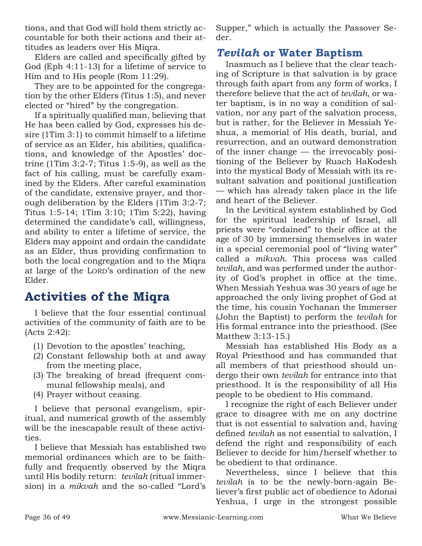tions, and that God will hold them strictly accountable for both their actions and their attitudes as leaders over His Miqra.

Elders are called and specifically gifted by God (Eph 4:11-13) for a lifetime of service to Him and to His people (Rom 11:29).

They are to be appointed for the congregation by the other Elders (Titus 1:5), and never elected or "hired" by the congregation.

If a spiritually qualified man, believing that He has been called by God, expresses his desire (1Tim 3:1) to commit himself to a lifetime of service as an Elder, his abilities, qualifications, and knowledge of the Apostles' doctrine (1Tim  $3:2-7$ ; Titus 1:5-9), as well as the fact of his calling, must be carefully examined by the Elders. After careful examination of the candidate, extensive prayer, and thorough deliberation by the Elders (1Tim 3:2-7; Titus 1:5-14; 1Tim 3:10; 1Tim 5:22), having determined the candidate's call, willingness, and ability to enter a lifetime of service, the Elders may appoint and ordain the candidate as an Elder, thus providing confirmation to both the local congregation and to the Miqra at large of the LORD's ordination of the new Elder.

### **Activities of the Miqra**

I believe that the four essential continual activities of the community of faith are to be (Acts 2:42):

- (1) Devotion to the apostles' teaching,
- (2) Constant fellowship both at and away from the meeting place,
- (3) The breaking of bread (frequent communal fellowship meals), and
- (4) Prayer without ceasing.

I believe that personal evangelism, spiritual, and numerical growth of the assembly will be the inescapable result of these activities.

I believe that Messiah has established two memorial ordinances which are to be faithfully and frequently observed by the Miqra until His bodily return: *tevilah* (ritual immersion) in a *mikvah* and the so-called "Lord's Supper," which is actually the Passover Seder.

#### *Tevilah* **or Water Baptism**

Inasmuch as I believe that the clear teaching of Scripture is that salvation is by grace through faith apart from any form of works, I therefore believe that the act of *tevilah*, or water baptism, is in no way a condition of salvation, nor any part of the salvation process, but is rather, for the Believer in Messiah Yeshua, a memorial of His death, burial, and resurrection, and an outward demonstration of the inner change — the irrevocably positioning of the Believer by Ruach HaKodesh into the mystical Body of Messiah with its resultant salvation and positional justification — which has already taken place in the life and heart of the Believer.

In the Levitical system established by God for the spiritual leadership of Israel, all priests were "ordained" to their office at the age of 30 by immersing themselves in water in a special ceremonial pool of "living water" called a *mikvah*. This process was called *tevilah*, and was performed under the authority of God's prophet in office at the time. When Messiah Yeshua was 30 years of age he approached the only living prophet of God at the time, his cousin Yochanan the Immerser (John the Baptist) to perform the *tevilah* for His formal entrance into the priesthood. (See Matthew 3:13-15.)

Messiah has established His Body as a Royal Priesthood and has commanded that all members of that priesthood should undergo their own *tevilah* for entrance into that priesthood. It is the responsibility of all His people to be obedient to His command.

I recognize the right of each Believer under grace to disagree with me on any doctrine that is not essential to salvation and, having defined *tevilah* as not essential to salvation, I defend the right and responsibility of each Believer to decide for him/herself whether to be obedient to that ordinance.

Nevertheless, since I believe that this *tevilah* is to be the newly-born-again Believer's first public act of obedience to Adonai Yeshua, I urge in the strongest possible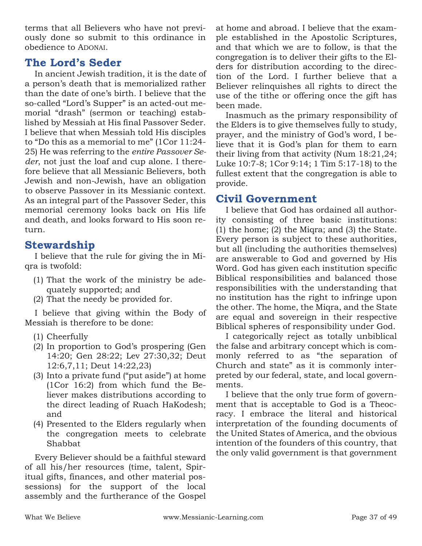terms that all Believers who have not previously done so submit to this ordinance in obedience to ADONAI.

#### **The Lord's Seder**

In ancient Jewish tradition, it is the date of a person's death that is memorialized rather than the date of one's birth. I believe that the so-called "Lord's Supper" is an acted-out memorial "drash" (sermon or teaching) established by Messiah at His final Passover Seder. I believe that when Messiah told His disciples to "Do this as a memorial to me" (1Cor 11:24- 25) He was referring to the *entire Passover Seder*, not just the loaf and cup alone. I therefore believe that all Messianic Believers, both Jewish and non-Jewish, have an obligation to observe Passover in its Messianic context. As an integral part of the Passover Seder, this memorial ceremony looks back on His life and death, and looks forward to His soon return.

#### **Stewardship**

I believe that the rule for giving the in Miqra is twofold:

- (1) That the work of the ministry be adequately supported; and
- (2) That the needy be provided for.

I believe that giving within the Body of Messiah is therefore to be done:

- (1) Cheerfully
- (2) In proportion to God's prospering (Gen 14:20; Gen 28:22; Lev 27:30,32; Deut 12:6,7,11; Deut 14:22,23)
- (3) Into a private fund ("put aside") at home (1Cor 16:2) from which fund the Believer makes distributions according to the direct leading of Ruach HaKodesh; and
- (4) Presented to the Elders regularly when the congregation meets to celebrate Shabbat

Every Believer should be a faithful steward of all his/her resources (time, talent, Spiritual gifts, finances, and other material possessions) for the support of the local assembly and the furtherance of the Gospel at home and abroad. I believe that the example established in the Apostolic Scriptures, and that which we are to follow, is that the congregation is to deliver their gifts to the Elders for distribution according to the direction of the Lord. I further believe that a Believer relinquishes all rights to direct the use of the tithe or offering once the gift has been made.

Inasmuch as the primary responsibility of the Elders is to give themselves fully to study, prayer, and the ministry of God's word, I believe that it is God's plan for them to earn their living from that activity (Num 18:21,24; Luke 10:7-8; 1Cor 9:14; 1 Tim 5:17-18) to the fullest extent that the congregation is able to provide.

#### **Civil Government**

I believe that God has ordained all authority consisting of three basic institutions: (1) the home; (2) the Miqra; and (3) the State. Every person is subject to these authorities, but all (including the authorities themselves) are answerable to God and governed by His Word. God has given each institution specific Biblical responsibilities and balanced those responsibilities with the understanding that no institution has the right to infringe upon the other. The home, the Miqra, and the State are equal and sovereign in their respective Biblical spheres of responsibility under God.

I categorically reject as totally unbiblical the false and arbitrary concept which is commonly referred to as "the separation of Church and state" as it is commonly interpreted by our federal, state, and local governments.

I believe that the only true form of government that is acceptable to God is a Theocracy. I embrace the literal and historical interpretation of the founding documents of the United States of America, and the obvious intention of the founders of this country, that the only valid government is that government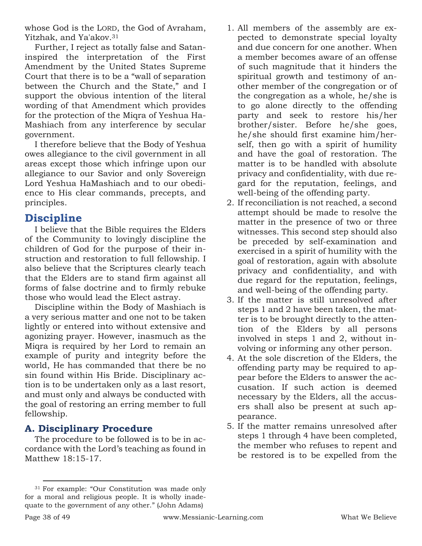whose God is the LORD, the God of Avraham, Yitzhak, and Ya'akov.<sup>31</sup>

Further, I reject as totally false and Sataninspired the interpretation of the First Amendment by the United States Supreme Court that there is to be a "wall of separation between the Church and the State," and I support the obvious intention of the literal wording of that Amendment which provides for the protection of the Miqra of Yeshua Ha-Mashiach from any interference by secular government.

I therefore believe that the Body of Yeshua owes allegiance to the civil government in all areas except those which infringe upon our allegiance to our Savior and only Sovereign Lord Yeshua HaMashiach and to our obedience to His clear commands, precepts, and principles.

#### **Discipline**

I believe that the Bible requires the Elders of the Community to lovingly discipline the children of God for the purpose of their instruction and restoration to full fellowship. I also believe that the Scriptures clearly teach that the Elders are to stand firm against all forms of false doctrine and to firmly rebuke those who would lead the Elect astray.

Discipline within the Body of Mashiach is a very serious matter and one not to be taken lightly or entered into without extensive and agonizing prayer. However, inasmuch as the Miqra is required by her Lord to remain an example of purity and integrity before the world, He has commanded that there be no sin found within His Bride. Disciplinary action is to be undertaken only as a last resort, and must only and always be conducted with the goal of restoring an erring member to full fellowship.

#### **A. Disciplinary Procedure**

The procedure to be followed is to be in accordance with the Lord's teaching as found in Matthew 18:15-17.

- 1. All members of the assembly are expected to demonstrate special loyalty and due concern for one another. When a member becomes aware of an offense of such magnitude that it hinders the spiritual growth and testimony of another member of the congregation or of the congregation as a whole, he/she is to go alone directly to the offending party and seek to restore his/her brother/sister. Before he/she goes, he/she should first examine him/herself, then go with a spirit of humility and have the goal of restoration. The matter is to be handled with absolute privacy and confidentiality, with due regard for the reputation, feelings, and well-being of the offending party.
- 2. If reconciliation is not reached, a second attempt should be made to resolve the matter in the presence of two or three witnesses. This second step should also be preceded by self-examination and exercised in a spirit of humility with the goal of restoration, again with absolute privacy and confidentiality, and with due regard for the reputation, feelings, and well-being of the offending party.
- 3. If the matter is still unresolved after steps 1 and 2 have been taken, the matter is to be brought directly to the attention of the Elders by all persons involved in steps 1 and 2, without involving or informing any other person.
- 4. At the sole discretion of the Elders, the offending party may be required to appear before the Elders to answer the accusation. If such action is deemed necessary by the Elders, all the accusers shall also be present at such appearance.
- 5. If the matter remains unresolved after steps 1 through 4 have been completed, the member who refuses to repent and be restored is to be expelled from the

<sup>31</sup> For example: "Our Constitution was made only for a moral and religious people. It is wholly inadequate to the government of any other." (John Adams)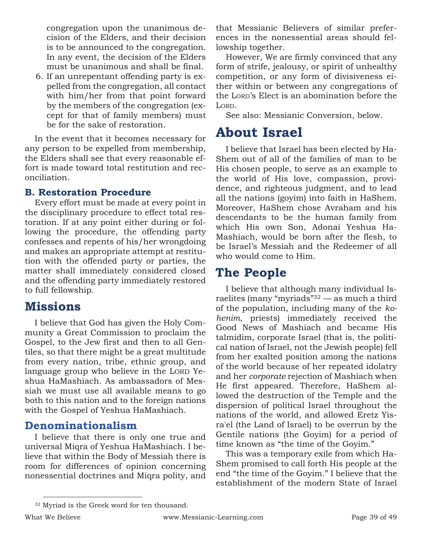congregation upon the unanimous decision of the Elders, and their decision is to be announced to the congregation. In any event, the decision of the Elders must be unanimous and shall be final.

6. If an unrepentant offending party is expelled from the congregation, all contact with him/her from that point forward by the members of the congregation (except for that of family members) must be for the sake of restoration.

In the event that it becomes necessary for any person to be expelled from membership, the Elders shall see that every reasonable effort is made toward total restitution and reconciliation.

#### **B. Restoration Procedure**

Every effort must be made at every point in the disciplinary procedure to effect total restoration. If at any point either during or following the procedure, the offending party confesses and repents of his/her wrongdoing and makes an appropriate attempt at restitution with the offended party or parties, the matter shall immediately considered closed and the offending party immediately restored to full fellowship.

### **Missions**

I believe that God has given the Holy Community a Great Commission to proclaim the Gospel, to the Jew first and then to all Gentiles, so that there might be a great multitude from every nation, tribe, ethnic group, and language group who believe in the LORD Yeshua HaMashiach. As ambassadors of Messiah we must use all available means to go both to this nation and to the foreign nations with the Gospel of Yeshua HaMashiach.

#### **Denominationalism**

I believe that there is only one true and universal Miqra of Yeshua HaMashiach. I believe that within the Body of Messiah there is room for differences of opinion concerning nonessential doctrines and Miqra polity, and that Messianic Believers of similar preferences in the nonessential areas should fellowship together.

However, We are firmly convinced that any form of strife, jealousy, or spirit of unhealthy competition, or any form of divisiveness either within or between any congregations of the LORD's Elect is an abomination before the LORD.

See also: Messianic Conversion, below.

## **About Israel**

I believe that Israel has been elected by Ha-Shem out of all of the families of man to be His chosen people, to serve as an example to the world of His love, compassion, providence, and righteous judgment, and to lead all the nations (goyim) into faith in HaShem. Moreover, HaShem chose Avraham and his descendants to be the human family from which His own Son, Adonai Yeshua Ha-Mashiach, would be born after the flesh, to be Israel's Messiah and the Redeemer of all who would come to Him.

### **The People**

I believe that although many individual Israelites (many "myriads"<sup>32</sup> — as much a third of the population, including many of the *kohenim*, priests) immediately received the Good News of Mashiach and became His talmidim, corporate Israel (that is, the political nation of Israel, not the Jewish people) fell from her exalted position among the nations of the world because of her repeated idolatry and her *corporate* rejection of Mashiach when He first appeared. Therefore, HaShem allowed the destruction of the Temple and the dispersion of political Israel throughout the nations of the world, and allowed Eretz Yisra'el (the Land of Israel) to be overrun by the Gentile nations (the Goyim) for a period of time known as "the time of the Goyim."

This was a temporary exile from which Ha-Shem promised to call forth His people at the end "the time of the Goyim." I believe that the establishment of the modern State of Israel

<sup>32</sup> Myriad is the Greek word for ten thousand.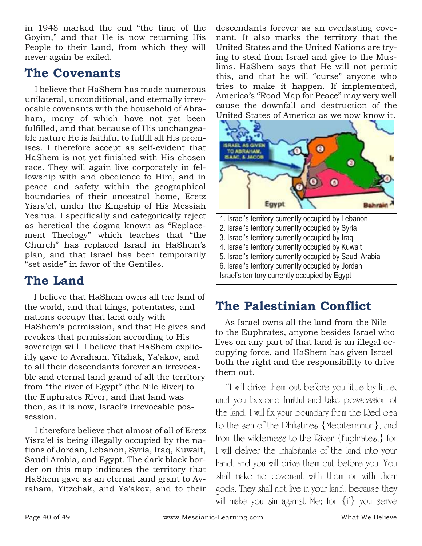in 1948 marked the end "the time of the Goyim," and that He is now returning His People to their Land, from which they will never again be exiled.

### **The Covenants**

I believe that HaShem has made numerous unilateral, unconditional, and eternally irrevocable covenants with the household of Abraham, many of which have not yet been fulfilled, and that because of His unchangeable nature He is faithful to fulfill all His promises. I therefore accept as self-evident that HaShem is not yet finished with His chosen race. They will again live corporately in fellowship with and obedience to Him, and in peace and safety within the geographical boundaries of their ancestral home, Eretz Yisra'el, under the Kingship of His Messiah Yeshua. I specifically and categorically reject as heretical the dogma known as "Replacement Theology" which teaches that "the Church" has replaced Israel in HaShem's plan, and that Israel has been temporarily "set aside" in favor of the Gentiles.

### **The Land**

I believe that HaShem owns all the land of the world, and that kings, potentates, and nations occupy that land only with HaShem's permission, and that He gives and revokes that permission according to His sovereign will. I believe that HaShem explicitly gave to Avraham, Yitzhak, Ya'akov, and to all their descendants forever an irrevocable and eternal land grand of all the territory from "the river of Egypt" (the Nile River) to the Euphrates River, and that land was then, as it is now, Israel's irrevocable possession.

I therefore believe that almost of all of Eretz Yisra'el is being illegally occupied by the nations of Jordan, Lebanon, Syria, Iraq, Kuwait, Saudi Arabia, and Egypt. The dark black border on this map indicates the territory that HaShem gave as an eternal land grant to Avraham, Yitzchak, and Ya'akov, and to their descendants forever as an everlasting covenant. It also marks the territory that the United States and the United Nations are trying to steal from Israel and give to the Muslims. HaShem says that He will not permit this, and that he will "curse" anyone who tries to make it happen. If implemented, America's "Road Map for Peace" may very well cause the downfall and destruction of the United States of America as we now know it.



3. Israel's territory currently occupied by Iraq 4. Israel's territory currently occupied by Kuwait 5. Israel's territory currently occupied by Saudi Arabia 6. Israel's territory currently occupied by Jordan

#### Israel's territory currently occupied by Egypt

## **The Palestinian Conflict**

As Israel owns all the land from the Nile to the Euphrates, anyone besides Israel who lives on any part of that land is an illegal occupying force, and HaShem has given Israel both the right and the responsibility to drive them out.

"I will drive them out before you little by little, until you become fruitful and take possession of the land. I will fix your boundary from the Red Sea to the sea of the Philistines {Mediterranian}, and from the wilderness to the River {Euphrates;} for I will deliver the inhabitants of the land into your hand, and you will drive them out before you. You shall make no covenant with them or with their gods. They shall not live in your land, because they will make you sin against Me; for {if} you serve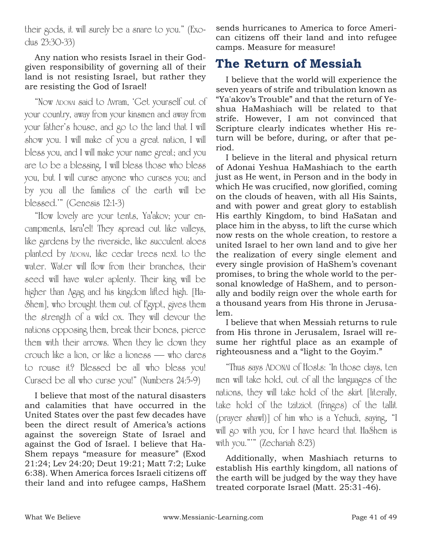their gods, it will surely be a snare to you." (Exodus 23:30-33)

Any nation who resists Israel in their Godgiven responsibility of governing all of their land is not resisting Israel, but rather they are resisting the God of Israel!

"Now ADONAI said to Avram, 'Get yourself out of your country, away from your kinsmen and away from your father's house, and go to the land that I will show you. I will make of you a great nation, I will bless you, and I will make your name great; and you are to be a blessing. I will bless those who bless you, but I will curse anyone who curses you; and by you all the families of the earth will be blessed.'" (Genesis 12:1-3)

"How lovely are your tents, Ya'akov; your encampments, Isra'el! They spread out like valleys, like gardens by the riverside, like succulent aloes planted by ADONAI, like cedar trees next to the water. Water will flow from their branches, their seed will have water aplenty. Their king will be higher than Agag and his kingdom lifted high. [Ha-Shem], who brought them out of Egypt, gives them the strength of a wild ox. They will devour the nations opposing them, break their bones, pierce them with their arrows. When they lie down they crouch like a lion, or like a lioness — who dares to rouse it? Blessed be all who bless you! Cursed be all who curse you!" (Numbers 24:5-9)

I believe that most of the natural disasters and calamities that have occurred in the United States over the past few decades have been the direct result of America's actions against the sovereign State of Israel and against the God of Israel. I believe that Ha-Shem repays "measure for measure" (Exod 21:24; Lev 24:20; Deut 19:21; Matt 7:2; Luke 6:38). When America forces Israeli citizens off their land and into refugee camps, HaShem sends hurricanes to America to force American citizens off their land and into refugee camps. Measure for measure!

### **The Return of Messiah**

I believe that the world will experience the seven years of strife and tribulation known as "Ya'akov's Trouble" and that the return of Yeshua HaMashiach will be related to that strife. However, I am not convinced that Scripture clearly indicates whether His return will be before, during, or after that period.

I believe in the literal and physical return of Adonai Yeshua HaMashiach to the earth just as He went, in Person and in the body in which He was crucified, now glorified, coming on the clouds of heaven, with all His Saints, and with power and great glory to establish His earthly Kingdom, to bind HaSatan and place him in the abyss, to lift the curse which now rests on the whole creation, to restore a united Israel to her own land and to give her the realization of every single element and every single provision of HaShem's covenant promises, to bring the whole world to the personal knowledge of HaShem, and to personally and bodily reign over the whole earth for a thousand years from His throne in Jerusalem.

I believe that when Messiah returns to rule from His throne in Jerusalem, Israel will resume her rightful place as an example of righteousness and a "light to the Goyim."

"Thus says ADONAI of Hosts: 'In those days, ten men will take hold, out of all the languages of the nations, they will take hold of the skirt [literally, take hold of the tzitziot (fringes) of the tallit (prayer shawl)] of him who is a Yehudi, saying, "I will go with you, for I have heard that HaShem is with you."'" (Zechariah 8:23)

Additionally, when Mashiach returns to establish His earthly kingdom, all nations of the earth will be judged by the way they have treated corporate Israel (Matt. 25:31-46).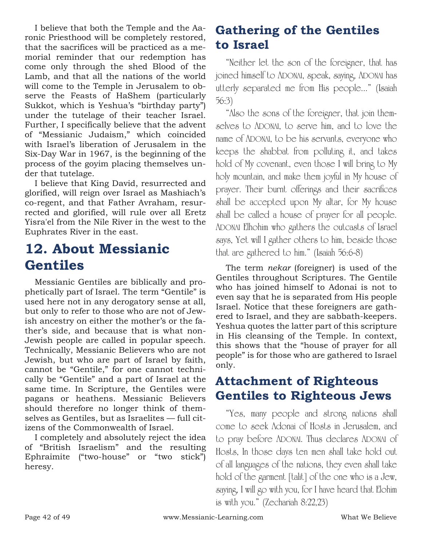I believe that both the Temple and the Aaronic Priesthood will be completely restored, that the sacrifices will be practiced as a memorial reminder that our redemption has come only through the shed Blood of the Lamb, and that all the nations of the world will come to the Temple in Jerusalem to observe the Feasts of HaShem (particularly Sukkot, which is Yeshua's "birthday party") under the tutelage of their teacher Israel. Further, I specifically believe that the advent of "Messianic Judaism," which coincided with Israel's liberation of Jerusalem in the Six-Day War in 1967, is the beginning of the process of the goyim placing themselves under that tutelage.

I believe that King David, resurrected and glorified, will reign over Israel as Mashiach's co-regent, and that Father Avraham, resurrected and glorified, will rule over all Eretz Yisra'el from the Nile River in the west to the Euphrates River in the east.

## **12. About Messianic Gentiles**

Messianic Gentiles are biblically and prophetically part of Israel. The term "Gentile" is used here not in any derogatory sense at all, but only to refer to those who are not of Jewish ancestry on either the mother's or the father's side, and because that is what non-Jewish people are called in popular speech. Technically, Messianic Believers who are not Jewish, but who are part of Israel by faith, cannot be "Gentile," for one cannot technically be "Gentile" and a part of Israel at the same time. In Scripture, the Gentiles were pagans or heathens. Messianic Believers should therefore no longer think of themselves as Gentiles, but as Israelites — full citizens of the Commonwealth of Israel.

I completely and absolutely reject the idea of "British Israelism" and the resulting Ephraimite ("two-house" or "two stick") heresy.

## **Gathering of the Gentiles to Israel**

"Neither let the son of the foreigner, that has joined himself to ADONAI, speak, saying, ADONAI has utterly separated me from His people..." (Isaiah 56:3)

"Also the sons of the foreigner, that join themselves to ADONAI, to serve him, and to love the name of ADONAI, to be his servants, everyone who keeps the shabbat from polluting it, and takes hold of My covenant, even those I will bring to My holy mountain, and make them joyful in My house of prayer. Their burnt offerings and their sacrifices shall be accepted upon My altar, for My house shall be called a house of prayer for all people. ADONAI Elhohim who gathers the outcasts of Israel says, Yet will I gather others to him, beside those that are gathered to him." (Isaiah 56:6-8)

The term *nekar* (foreigner) is used of the Gentiles throughout Scriptures. The Gentile who has joined himself to Adonai is not to even say that he is separated from His people Israel. Notice that these foreigners are gathered to Israel, and they are sabbath-keepers. Yeshua quotes the latter part of this scripture in His cleansing of the Temple. In context, this shows that the "house of prayer for all people" is for those who are gathered to Israel only.

## **Attachment of Righteous Gentiles to Righteous Jews**

"Yes, many people and strong nations shall come to seek Adonai of Hosts in Jerusalem, and to pray before ADONAI. Thus declares ADONAI of Hosts, In those days ten men shall take hold out of all languages of the nations, they even shall take hold of the garment [talit] of the one who is a Jew, saying, I will go with you, for I have heard that Elohim is with you." (Zechariah 8:22,23)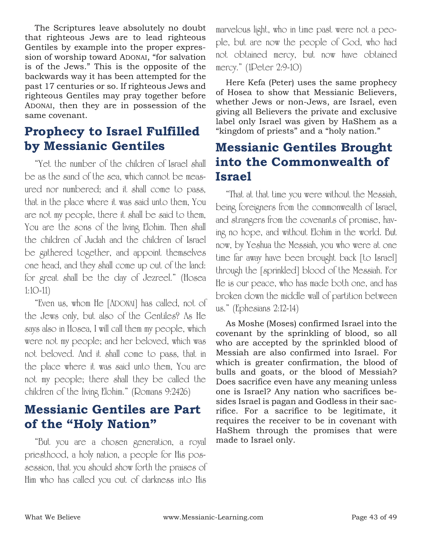The Scriptures leave absolutely no doubt that righteous Jews are to lead righteous Gentiles by example into the proper expression of worship toward ADONAI, "for salvation is of the Jews." This is the opposite of the backwards way it has been attempted for the past 17 centuries or so. If righteous Jews and righteous Gentiles may pray together before ADONAI, then they are in possession of the same covenant.

## **Prophecy to Israel Fulfilled by Messianic Gentiles**

"Yet the number of the children of Israel shall be as the sand of the sea, which cannot be measured nor numbered; and it shall come to pass, that in the place where it was said unto them, You are not my people, there it shall be said to them, You are the sons of the living Elohim. Then shall the children of Judah and the children of Israel be gathered together, and appoint themselves one head, and they shall come up out of the land: for great shall be the day of Jezreel." (Hosea 1:10-11)

"Even us, whom He [ADONAI] has called, not of the Jews only, but also of the Gentiles? As He says also in Hosea, I will call them my people, which were not my people; and her beloved, which was not beloved. And it shall come to pass, that in the place where it was said unto them, You are not my people; there shall they be called the children of the living Elohim." (Romans 9:2426)

## **Messianic Gentiles are Part of the "Holy Nation"**

"But you are a chosen generation, a royal priesthood, a holy nation, a people for His possession, that you should show forth the praises of Him who has called you out of darkness into His

marvelous light, who in time past were not a people, but are now the people of God, who had not obtained mercy, but now have obtained mercy." (1Peter 2:9-10)

Here Kefa (Peter) uses the same prophecy of Hosea to show that Messianic Believers, whether Jews or non-Jews, are Israel, even giving all Believers the private and exclusive label only Israel was given by HaShem as a "kingdom of priests" and a "holy nation."

## **Messianic Gentiles Brought into the Commonwealth of Israel**

"That at that time you were without the Messiah, being foreigners from the commonwealth of Israel, and strangers from the covenants of promise, having no hope, and without Elohim in the world. But now, by Yeshua the Messiah, you who were at one time far away have been brought back [to Israel] through the [sprinkled] blood of the Messiah. For He is our peace, who has made both one, and has broken down the middle wall of partition between us." (Ephesians 2:12-14)

As Moshe (Moses) confirmed Israel into the covenant by the sprinkling of blood, so all who are accepted by the sprinkled blood of Messiah are also confirmed into Israel. For which is greater confirmation, the blood of bulls and goats, or the blood of Messiah? Does sacrifice even have any meaning unless one is Israel? Any nation who sacrifices besides Israel is pagan and Godless in their sacrifice. For a sacrifice to be legitimate, it requires the receiver to be in covenant with HaShem through the promises that were made to Israel only.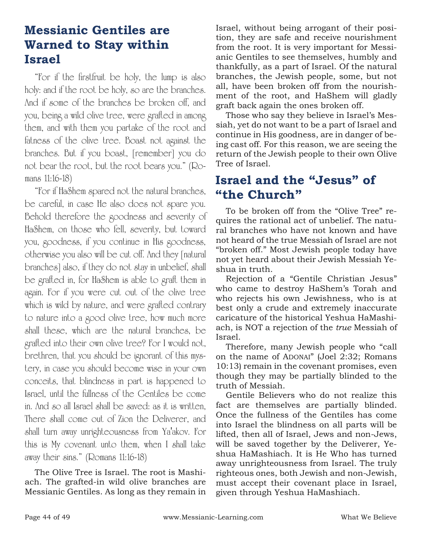## **Messianic Gentiles are Warned to Stay within Israel**

"For if the firstfruit be holy, the lump is also holy: and if the root be holy, so are the branches. And if some of the branches be broken off, and you, being a wild olive tree, were grafted in among them, and with them you partake of the root and fatness of the olive tree. Boast not against the branches. But if you boast, [remember] you do not bear the root, but the root bears you." (Romans 11:16-18)

"For if HaShem spared not the natural branches, be careful, in case He also does not spare you. Behold therefore the goodness and severity of HaShem, on those who fell, severity, but toward you, goodness, if you continue in His goodness, otherwise you also will be cut off. And they [natural branches] also, if they do not stay in unbelief, shall be grafted in, for HaShem is able to graft them in again. For if you were cut out of the olive tree which is wild by nature, and were grafted contrary to nature into a good olive tree, how much more shall these, which are the natural branches, be grafted into their own olive tree? For I would not, brethren, that you should be ignorant of this mystery, in case you should become wise in your own conceits, that blindness in part is happened to Israel, until the fullness of the Gentiles be come in. And so all Israel shall be saved: as it is written, There shall come out of Zion the Deliverer, and shall turn away unrighteousness from Ya'akov. For this is My covenant unto them, when I shall take away their sins." (Romans 11:16-18)

The Olive Tree is Israel. The root is Mashiach. The grafted-in wild olive branches are Messianic Gentiles. As long as they remain in

Israel, without being arrogant of their position, they are safe and receive nourishment from the root. It is very important for Messianic Gentiles to see themselves, humbly and thankfully, as a part of Israel. Of the natural branches, the Jewish people, some, but not all, have been broken off from the nourishment of the root, and HaShem will gladly graft back again the ones broken off.

Those who say they believe in Israel's Messiah, yet do not want to be a part of Israel and continue in His goodness, are in danger of being cast off. For this reason, we are seeing the return of the Jewish people to their own Olive Tree of Israel.

### **Israel and the "Jesus" of "the Church"**

To be broken off from the "Olive Tree" requires the rational act of unbelief. The natural branches who have not known and have not heard of the true Messiah of Israel are not "broken off." Most Jewish people today have not yet heard about their Jewish Messiah Yeshua in truth.

Rejection of a "Gentile Christian Jesus" who came to destroy HaShem's Torah and who rejects his own Jewishness, who is at best only a crude and extremely inaccurate caricature of the historical Yeshua HaMashiach, is NOT a rejection of the *true* Messiah of Israel.

Therefore, many Jewish people who "call on the name of ADONAI" (Joel 2:32; Romans 10:13) remain in the covenant promises, even though they may be partially blinded to the truth of Messiah.

Gentile Believers who do not realize this fact are themselves are partially blinded. Once the fullness of the Gentiles has come into Israel the blindness on all parts will be lifted, then all of Israel, Jews and non-Jews, will be saved together by the Deliverer, Yeshua HaMashiach. It is He Who has turned away unrighteousness from Israel. The truly righteous ones, both Jewish and non-Jewish, must accept their covenant place in Israel, given through Yeshua HaMashiach.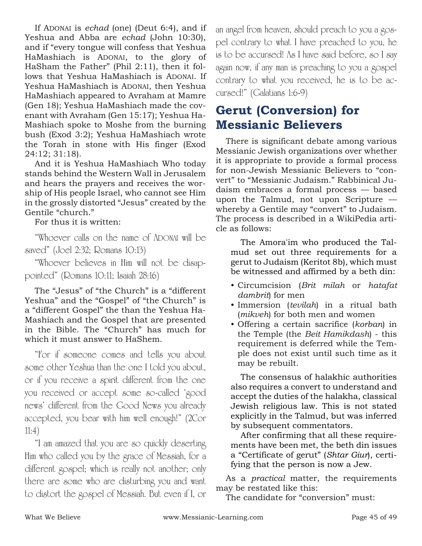If ADONAI is *echad* (one) (Deut 6:4), and if Yeshua and Abba are *echad* (John 10:30), and if "every tongue will confess that Yeshua HaMashiach is ADONAI, to the glory of HaSham the Father" (Phil 2:11), then it follows that Yeshua HaMashiach is ADONAI. If Yeshua HaMashiach is ADONAI, then Yeshua HaMashiach appeared to Avraham at Mamre (Gen 18); Yeshua HaMashiach made the covenant with Avraham (Gen 15:17); Yeshua Ha-Mashiach spoke to Moshe from the burning bush (Exod 3:2); Yeshua HaMashiach wrote the Torah in stone with His finger (Exod 24:12; 31:18).

And it is Yeshua HaMashiach Who today stands behind the Western Wall in Jerusalem and hears the prayers and receives the worship of His people Israel, who cannot see Him in the grossly distorted "Jesus" created by the Gentile "church."

For thus it is written:

"Whoever calls on the name of ADONAI will be saved" (Joel 2:32; Romans 10:13)

"Whoever believes in Him will not be disappointed" (Romans 10:11; Isaiah 28:16)

The "Jesus" of "the Church" is a "different Yeshua" and the "Gospel" of "the Church" is a "different Gospel" the than the Yeshua Ha-Mashiach and the Gospel that are presented in the Bible. The "Church" has much for which it must answer to HaShem.

"For if someone comes and tells you about some other Yeshua than the one I told you about, or if you receive a spirit different from the one you received or accept some so-called 'good news' different from the Good News you already accepted, you bear with him well enough!" (2Cor 11:4)

"I am amazed that you are so quickly deserting Him who called you by the grace of Messiah, for a different gospel; which is really not another; only there are some who are disturbing you and want to distort the gospel of Messiah. But even if I, or an angel from heaven, should preach to you a gospel contrary to what I have preached to you, he is to be accursed! As I have said before, so I say again now, if any man is preaching to you a gospel contrary to what you received, he is to be accursed!" (Galatians 1:6-9)

## **Gerut (Conversion) for Messianic Believers**

There is significant debate among various Messianic Jewish organizations over whether it is appropriate to provide a formal process for non-Jewish Messianic Believers to "convert" to "Messianic Judaism." Rabbinical Judaism embraces a formal process — based upon the Talmud, not upon Scripture whereby a Gentile may "convert" to Judaism. The process is described in a WikiPedia article as follows:

The Amora'im who produced the Talmud set out three requirements for a gerut to Judaism (Keritot 8b), which must be witnessed and affirmed by a beth din:

- Circumcision (*Brit milah* or *hatafat dambrit*) for men
- Immersion (*tevilah*) in a ritual bath (*mikveh*) for both men and women
- Offering a certain sacrifice (*korban*) in the Temple (the *Beit Hamikdash*) - this requirement is deferred while the Temple does not exist until such time as it may be rebuilt.

The consensus of halakhic authorities also requires a convert to understand and accept the duties of the halakha, classical Jewish religious law. This is not stated explicitly in the Talmud, but was inferred by subsequent commentators.

After confirming that all these requirements have been met, the beth din issues a "Certificate of gerut" (*Shtar Giur*), certifying that the person is now a Jew.

As a *practical* matter, the requirements may be restated like this:

The candidate for "conversion" must: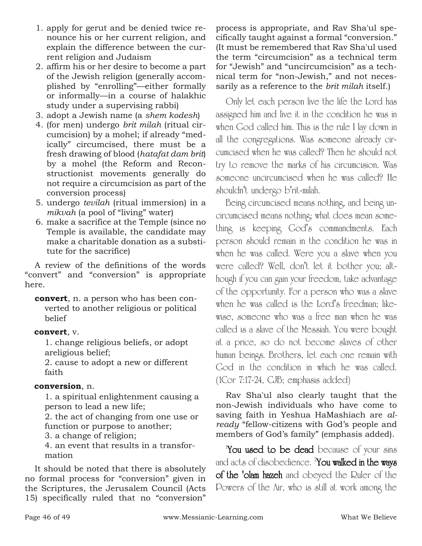- 1. apply for gerut and be denied twice renounce his or her current religion, and explain the difference between the current religion and Judaism
- 2. affirm his or her desire to become a part of the Jewish religion (generally accomplished by "enrolling"—either formally or informally—in a course of halakhic study under a supervising rabbi)
- 3. adopt a Jewish name (a *shem kodesh*)
- 4. (for men) undergo *brit milah* (ritual circumcision) by a mohel; if already "medically" circumcised, there must be a fresh drawing of blood (*hatafat dam brit*) by a mohel (the Reform and Reconstructionist movements generally do not require a circumcision as part of the conversion process)
- 5. undergo *tevilah* (ritual immersion) in a *mikvah* (a pool of "living" water)
- 6. make a sacrifice at the Temple (since no Temple is available, the candidate may make a charitable donation as a substitute for the sacrifice)

A review of the definitions of the words "convert" and "conversion" is appropriate here.

**convert**, n. a person who has been converted to another religious or political belief

#### **convert**, v.

1. change religious beliefs, or adopt areligious belief;

2. cause to adopt a new or different faith

#### **conversion**, n.

1. a spiritual enlightenment causing a person to lead a new life;

2. the act of changing from one use or function or purpose to another;

3. a change of religion;

4. an event that results in a transformation

It should be noted that there is absolutely no formal process for "conversion" given in the Scriptures, the Jerusalem Council (Acts 15) specifically ruled that no "conversion"

process is appropriate, and Rav Sha'ul specifically taught against a formal "conversion." (It must be remembered that Rav Sha'ul used the term "circumcision" as a technical term for "Jewish" and "uncircumcision" as a technical term for "non-Jewish," and not necessarily as a reference to the *brit milah* itself.)

Only let each person live the life the Lord has assigned him and live it in the condition he was in when God called him. This is the rule I lay down in all the congregations. Was someone already circumcised when he was called? Then he should not try to remove the marks of his circumcision. Was someone uncircumcised when he was called? He shouldn't undergo b'rit-milah.

Being circumcised means nothing, and being uncircumcised means nothing; what does mean something is keeping God's commandments. Each person should remain in the condition he was in when he was called. Were you a slave when you were called? Well, don't let it bother you; although if you can gain your freedom, take advantage of the opportunity. For a person who was a slave when he was called is the Lord's freedman; likewise, someone who was a free man when he was called is a slave of the Messiah. You were bought at a price, so do not become slaves of other human beings. Brothers, let each one remain with God in the condition in which he was called. (1Cor 7:17-24, CJB; emphasis added)

Rav Sha'ul also clearly taught that the non-Jewish individuals who have come to saving faith in Yeshua HaMashiach are *already* "fellow-citizens with God's people and members of God's family" (emphasis added).

You used to be dead because of your sins and acts of disobedience.  $^2$ You walked in the ways of the 'olam hazeh and obeyed the Ruler of the Powers of the Air, who is still at work among the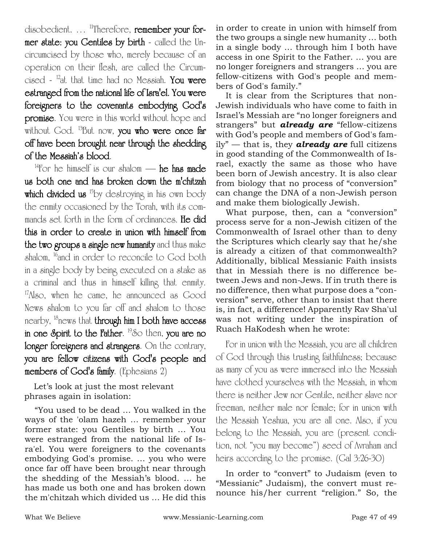disobedient. ... <sup>11</sup>Therefore, remember your former state: you Gentiles by birth - called the Uncircumcised by those who, merely because of an operation on their flesh, are called the Circumcised -  $^{12}$ at that time had no Messiah. You were estranged from the national life of Isra'el. You were foreigners to the covenants embodying God's promise. You were in this world without hope and without God. <sup>13</sup>But now, you who were once far off have been brought near through the shedding of the Messiah's blood.

<sup>14</sup>For he himself is our shalom — he has made us both one and has broken down the m'chitzah which divided us <sup>15</sup>by destroying in his own body the enmity occasioned by the Torah, with its commands set forth in the form of ordinances. He did this in order to create in union with himself from the two groups a single new humanity and thus make shalom, <sup>16</sup>and in order to reconcile to God both in a single body by being executed on a stake as a criminal and thus in himself killing that enmity.  $17$ Also, when he came, he announced as Good News shalom to you far off and shalom to those nearby, <sup>18</sup>news that **through him I both have access** in one Spirit to the Father.  $^{19}$ So then, you are no longer foreigners and strangers. On the contrary, you are fellow citizens with God's people and members of God's family. (Ephesians 2)

Let's look at just the most relevant phrases again in isolation:

"You used to be dead … You walked in the ways of the 'olam hazeh … remember your former state: you Gentiles by birth … You were estranged from the national life of Isra'el. You were foreigners to the covenants embodying God's promise. … you who were once far off have been brought near through the shedding of the Messiah's blood. … he has made us both one and has broken down the m'chitzah which divided us … He did this in order to create in union with himself from the two groups a single new humanity … both in a single body … through him I both have access in one Spirit to the Father. … you are no longer foreigners and strangers … you are fellow-citizens with God's people and members of God's family."

It is clear from the Scriptures that non-Jewish individuals who have come to faith in Israel's Messiah are "no longer foreigners and strangers" but *already are* "fellow-citizens with God's people and members of God's family" — that is, they *already are* full citizens in good standing of the Commonwealth of Israel, exactly the same as those who have been born of Jewish ancestry. It is also clear from biology that no process of "conversion" can change the DNA of a non-Jewish person and make them biologically Jewish.

What purpose, then, can a "conversion" process serve for a non-Jewish citizen of the Commonwealth of Israel other than to deny the Scriptures which clearly say that he/she is already a citizen of that commonwealth? Additionally, biblical Messianic Faith insists that in Messiah there is no difference between Jews and non-Jews. If in truth there is no difference, then what purpose does a "conversion" serve, other than to insist that there is, in fact, a difference! Apparently Rav Sha'ul was not writing under the inspiration of Ruach HaKodesh when he wrote:

For in union with the Messiah, you are all children of God through this trusting faithfulness; because as many of you as were immersed into the Messiah have clothed yourselves with the Messiah, in whom there is neither Jew nor Gentile, neither slave nor freeman, neither male nor female; for in union with the Messiah Yeshua, you are all one. Also, if you belong to the Messiah, you are (present condition, not "you may become") seed of Avraham and heirs according to the promise. (Gal 3:26-30)

In order to "convert" to Judaism (even to "Messianic" Judaism), the convert must renounce his/her current "religion." So, the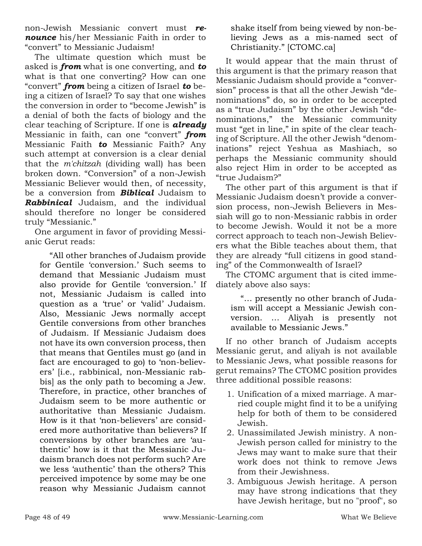non-Jewish Messianic convert must *renounce* his/her Messianic Faith in order to "convert" to Messianic Judaism!

The ultimate question which must be asked is *from* what is one converting, and *to* what is that one converting? How can one "convert" *from* being a citizen of Israel *to* being a citizen of Israel? To say that one wishes the conversion in order to "become Jewish" is a denial of both the facts of biology and the clear teaching of Scripture. If one is *already* Messianic in faith, can one "convert" *from* Messianic Faith *to* Messianic Faith? Any such attempt at conversion is a clear denial that the *m'chitzah* (dividing wall) has been broken down. "Conversion" of a non-Jewish Messianic Believer would then, of necessity, be a conversion from *Biblical* Judaism to *Rabbinical* Judaism, and the individual should therefore no longer be considered truly "Messianic."

One argument in favor of providing Messianic Gerut reads:

"All other branches of Judaism provide for Gentile 'conversion.' Such seems to demand that Messianic Judaism must also provide for Gentile 'conversion.' If not, Messianic Judaism is called into question as a 'true' or 'valid' Judaism. Also, Messianic Jews normally accept Gentile conversions from other branches of Judaism. If Messianic Judaism does not have its own conversion process, then that means that Gentiles must go (and in fact are encouraged to go) to 'non-believers' [i.e., rabbinical, non-Messianic rabbis] as the only path to becoming a Jew. Therefore, in practice, other branches of Judaism seem to be more authentic or authoritative than Messianic Judaism. How is it that 'non-believers' are considered more authoritative than believers? If conversions by other branches are 'authentic' how is it that the Messianic Judaism branch does not perform such? Are we less 'authentic' than the others? This perceived impotence by some may be one reason why Messianic Judaism cannot

shake itself from being viewed by non-believing Jews as a mis-named sect of Christianity." [CTOMC.ca]

It would appear that the main thrust of this argument is that the primary reason that Messianic Judaism should provide a "conversion" process is that all the other Jewish "denominations" do, so in order to be accepted as a "true Judaism" by the other Jewish "denominations," the Messianic community must "get in line," in spite of the clear teaching of Scripture. All the other Jewish "denominations" reject Yeshua as Mashiach, so perhaps the Messianic community should also reject Him in order to be accepted as "true Judaism?"

The other part of this argument is that if Messianic Judaism doesn't provide a conversion process, non-Jewish Believers in Messiah will go to non-Messianic rabbis in order to become Jewish. Would it not be a more correct approach to teach non-Jewish Believers what the Bible teaches about them, that they are already "full citizens in good standing" of the Commonwealth of Israel?

The CTOMC argument that is cited immediately above also says:

"… presently no other branch of Judaism will accept a Messianic Jewish conversion. … Aliyah is presently not available to Messianic Jews."

If no other branch of Judaism accepts Messianic gerut, and aliyah is not available to Messianic Jews, what possible reasons for gerut remains? The CTOMC position provides three additional possible reasons:

- 1. Unification of a mixed marriage. A married couple might find it to be a unifying help for both of them to be considered Jewish.
- 2. Unassimilated Jewish ministry. A non-Jewish person called for ministry to the Jews may want to make sure that their work does not think to remove Jews from their Jewishness.
- 3. Ambiguous Jewish heritage. A person may have strong indications that they have Jewish heritage, but no "proof", so